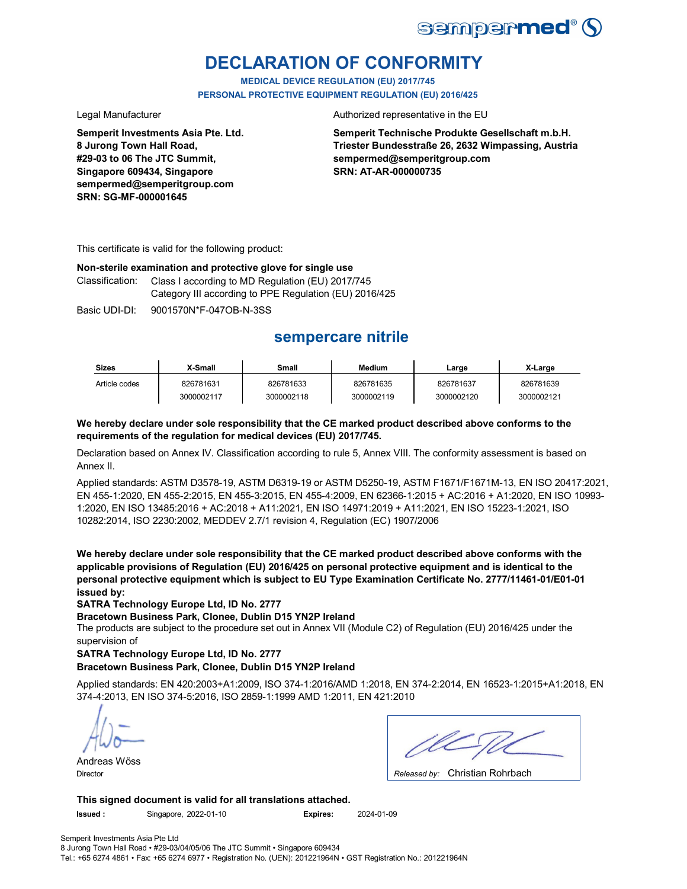

# **DECLARATION OF CONFORMITY**

**MEDICAL DEVICE REGULATION (EU) 2017/745 PERSONAL PROTECTIVE EQUIPMENT REGULATION (EU) 2016/425**

**Semperit Investments Asia Pte. Ltd. 8 Jurong Town Hall Road, #29-03 to 06 The JTC Summit, Singapore 609434, Singapore sempermed@semperitgroup.com SRN: SG-MF-000001645**

Legal Manufacturer **Authorized representative in the EU** 

**Semperit Technische Produkte Gesellschaft m.b.H. Triester Bundesstraße 26, 2632 Wimpassing, Austria sempermed@semperitgroup.com SRN: AT-AR-000000735**

This certificate is valid for the following product:

### **Non-sterile examination and protective glove for single use**

Classification: Class I according to MD Regulation (EU) 2017/745 Category III according to PPE Regulation (EU) 2016/425

Basic UDI-DI: 9001570N\*F-047OB-N-3SS

# **sempercare nitrile**

| <b>Sizes</b>  | X-Small    | Small      | <b>Medium</b> | ∟arge      | X-Large    |
|---------------|------------|------------|---------------|------------|------------|
| Article codes | 826781631  | 826781633  | 826781635     | 826781637  | 826781639  |
|               | 3000002117 | 3000002118 | 3000002119    | 3000002120 | 3000002121 |

### **We hereby declare under sole responsibility that the CE marked product described above conforms to the requirements of the regulation for medical devices (EU) 2017/745.**

Declaration based on Annex IV. Classification according to rule 5, Annex VIII. The conformity assessment is based on Annex II.

Applied standards: ASTM D3578-19, ASTM D6319-19 or ASTM D5250-19, ASTM F1671/F1671M-13, EN ISO 20417:2021, EN 455-1:2020, EN 455-2:2015, EN 455-3:2015, EN 455-4:2009, EN 62366-1:2015 + AC:2016 + A1:2020, EN ISO 10993- 1:2020, EN ISO 13485:2016 + AC:2018 + A11:2021, EN ISO 14971:2019 + A11:2021, EN ISO 15223-1:2021, ISO 10282:2014, ISO 2230:2002, MEDDEV 2.7/1 revision 4, Regulation (EC) 1907/2006

**We hereby declare under sole responsibility that the CE marked product described above conforms with the applicable provisions of Regulation (EU) 2016/425 on personal protective equipment and is identical to the personal protective equipment which is subject to EU Type Examination Certificate No. 2777/11461-01/E01-01 issued by:**

**SATRA Technology Europe Ltd, ID No. 2777**

**Bracetown Business Park, Clonee, Dublin D15 YN2P Ireland**

The products are subject to the procedure set out in Annex VII (Module C2) of Regulation (EU) 2016/425 under the supervision of

### **SATRA Technology Europe Ltd, ID No. 2777**

### **Bracetown Business Park, Clonee, Dublin D15 YN2P Ireland**

Applied standards: EN 420:2003+A1:2009, ISO 374-1:2016/AMD 1:2018, EN 374-2:2014, EN 16523-1:2015+A1:2018, EN 374-4:2013, EN ISO 374-5:2016, ISO 2859-1:1999 AMD 1:2011, EN 421:2010

Andreas Wöss

Christian Rohrbach Director *Released by:* 

**This signed document is valid for all translations attached.**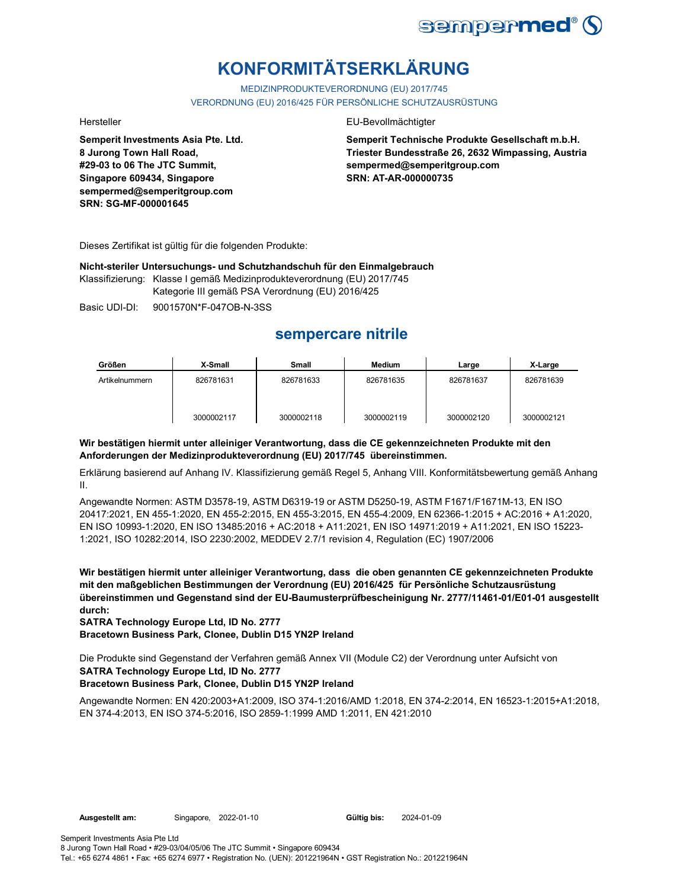

# **KONFORMITÄTSERKLÄRUNG**

MEDIZINPRODUKTEVERORDNUNG (EU) 2017/745 VERORDNUNG (EU) 2016/425 FÜR PERSÖNLICHE SCHUTZAUSRÜSTUNG

**Semperit Investments Asia Pte. Ltd. 8 Jurong Town Hall Road, #29-03 to 06 The JTC Summit, Singapore 609434, Singapore sempermed@semperitgroup.com SRN: SG-MF-000001645**

### Hersteller EU-Bevollmächtigter

**Semperit Technische Produkte Gesellschaft m.b.H. Triester Bundesstraße 26, 2632 Wimpassing, Austria sempermed@semperitgroup.com SRN: AT-AR-000000735**

Dieses Zertifikat ist gültig für die folgenden Produkte:

**Nicht-steriler Untersuchungs- und Schutzhandschuh für den Einmalgebrauch**

Klassifizierung: Klasse I gemäß Medizinprodukteverordnung (EU) 2017/745

Kategorie III gemäß PSA Verordnung (EU) 2016/425

Basic UDI-DI: 9001570N\*F-047OB-N-3SS

## **sempercare nitrile**

| Größen         | X-Small    | <b>Small</b> | <b>Medium</b> | Large      | X-Large    |
|----------------|------------|--------------|---------------|------------|------------|
| Artikelnummern | 826781631  | 826781633    | 826781635     | 826781637  | 826781639  |
|                | 3000002117 | 3000002118   | 3000002119    | 3000002120 | 3000002121 |

### **Wir bestätigen hiermit unter alleiniger Verantwortung, dass die CE gekennzeichneten Produkte mit den Anforderungen der Medizinprodukteverordnung (EU) 2017/745 übereinstimmen.**

Erklärung basierend auf Anhang IV. Klassifizierung gemäß Regel 5, Anhang VIII. Konformitätsbewertung gemäß Anhang II.

Angewandte Normen: ASTM D3578-19, ASTM D6319-19 or ASTM D5250-19, ASTM F1671/F1671M-13, EN ISO 20417:2021, EN 455-1:2020, EN 455-2:2015, EN 455-3:2015, EN 455-4:2009, EN 62366-1:2015 + AC:2016 + A1:2020, EN ISO 10993-1:2020, EN ISO 13485:2016 + AC:2018 + A11:2021, EN ISO 14971:2019 + A11:2021, EN ISO 15223- 1:2021, ISO 10282:2014, ISO 2230:2002, MEDDEV 2.7/1 revision 4, Regulation (EC) 1907/2006

**Wir bestätigen hiermit unter alleiniger Verantwortung, dass die oben genannten CE gekennzeichneten Produkte mit den maßgeblichen Bestimmungen der Verordnung (EU) 2016/425 für Persönliche Schutzausrüstung übereinstimmen und Gegenstand sind der EU-Baumusterprüfbescheinigung Nr. 2777/11461-01/E01-01 ausgestellt durch:**

**SATRA Technology Europe Ltd, ID No. 2777**

**Bracetown Business Park, Clonee, Dublin D15 YN2P Ireland**

Die Produkte sind Gegenstand der Verfahren gemäß Annex VII (Module C2) der Verordnung unter Aufsicht von **SATRA Technology Europe Ltd, ID No. 2777**

### **Bracetown Business Park, Clonee, Dublin D15 YN2P Ireland**

Angewandte Normen: EN 420:2003+A1:2009, ISO 374-1:2016/AMD 1:2018, EN 374-2:2014, EN 16523-1:2015+A1:2018, EN 374-4:2013, EN ISO 374-5:2016, ISO 2859-1:1999 AMD 1:2011, EN 421:2010

Gültig bis: 2024-01-09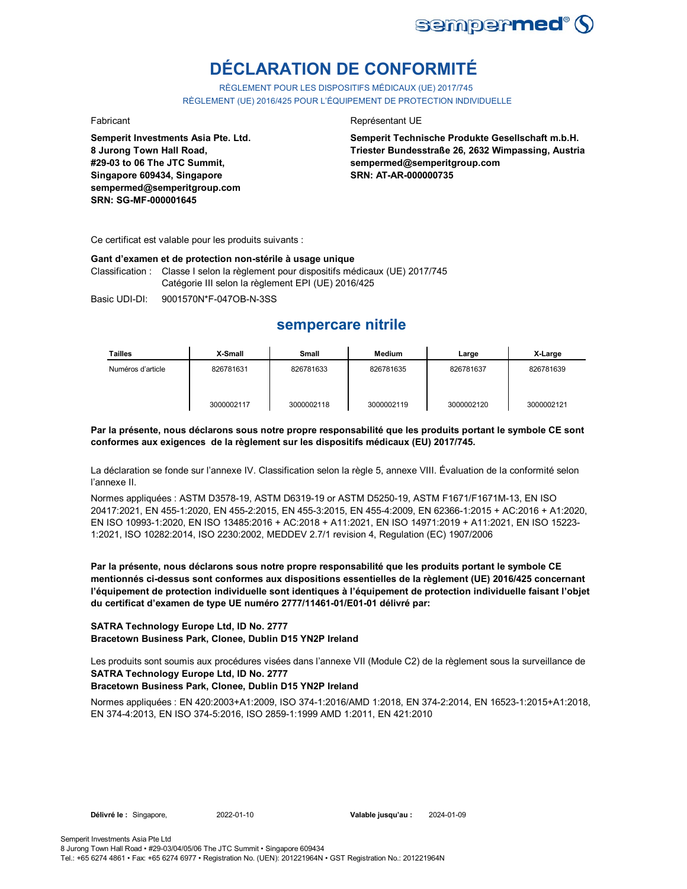

# **DÉCLARATION DE CONFORMITÉ**

RÈGLEMENT POUR LES DISPOSITIFS MÉDICAUX (UE) 2017/745 RÈGLEMENT (UE) 2016/425 POUR L'ÉQUIPEMENT DE PROTECTION INDIVIDUELLE

**Semperit Investments Asia Pte. Ltd. 8 Jurong Town Hall Road, #29-03 to 06 The JTC Summit, Singapore 609434, Singapore sempermed@semperitgroup.com SRN: SG-MF-000001645**

### Fabricant **Représentant UE**

**Semperit Technische Produkte Gesellschaft m.b.H. Triester Bundesstraße 26, 2632 Wimpassing, Austria sempermed@semperitgroup.com SRN: AT-AR-000000735**

Ce certificat est valable pour les produits suivants :

### **Gant d'examen et de protection non-stérile à usage unique**

Classification : Classe I selon la règlement pour dispositifs médicaux (UE) 2017/745 Catégorie III selon la règlement EPI (UE) 2016/425

Basic UDI-DI: 9001570N\*F-047OB-N-3SS

## **sempercare nitrile**

| Tailles           | X-Small    | Small      | Medium     | Large      | X-Large    |
|-------------------|------------|------------|------------|------------|------------|
| Numéros d'article | 826781631  | 826781633  | 826781635  | 826781637  | 826781639  |
|                   | 3000002117 | 3000002118 | 3000002119 | 3000002120 | 3000002121 |

### **Par la présente, nous déclarons sous notre propre responsabilité que les produits portant le symbole CE sont conformes aux exigences de la règlement sur les dispositifs médicaux (EU) 2017/745.**

La déclaration se fonde sur l'annexe IV. Classification selon la règle 5, annexe VIII. Évaluation de la conformité selon l'annexe II.

Normes appliquées : ASTM D3578-19, ASTM D6319-19 or ASTM D5250-19, ASTM F1671/F1671M-13, EN ISO 20417:2021, EN 455-1:2020, EN 455-2:2015, EN 455-3:2015, EN 455-4:2009, EN 62366-1:2015 + AC:2016 + A1:2020, EN ISO 10993-1:2020, EN ISO 13485:2016 + AC:2018 + A11:2021, EN ISO 14971:2019 + A11:2021, EN ISO 15223- 1:2021, ISO 10282:2014, ISO 2230:2002, MEDDEV 2.7/1 revision 4, Regulation (EC) 1907/2006

**Par la présente, nous déclarons sous notre propre responsabilité que les produits portant le symbole CE mentionnés ci-dessus sont conformes aux dispositions essentielles de la règlement (UE) 2016/425 concernant l'équipement de protection individuelle sont identiques à l'équipement de protection individuelle faisant l'objet du certificat d'examen de type UE numéro 2777/11461-01/E01-01 délivré par:**

### **SATRA Technology Europe Ltd, ID No. 2777 Bracetown Business Park, Clonee, Dublin D15 YN2P Ireland**

Les produits sont soumis aux procédures visées dans l'annexe VII (Module C2) de la règlement sous la surveillance de **SATRA Technology Europe Ltd, ID No. 2777**

### **Bracetown Business Park, Clonee, Dublin D15 YN2P Ireland**

Normes appliquées : EN 420:2003+A1:2009, ISO 374-1:2016/AMD 1:2018, EN 374-2:2014, EN 16523-1:2015+A1:2018, EN 374-4:2013, EN ISO 374-5:2016, ISO 2859-1:1999 AMD 1:2011, EN 421:2010

**Délivré le :** Singapore, 2022-01-10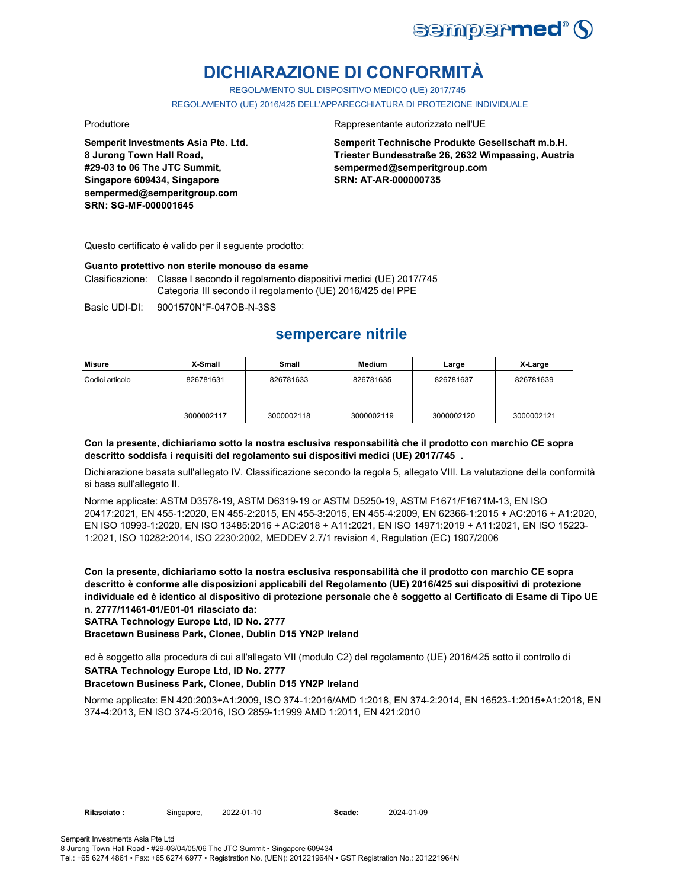

# **DICHIARAZIONE DI CONFORMITÀ**

REGOLAMENTO SUL DISPOSITIVO MEDICO (UE) 2017/745

REGOLAMENTO (UE) 2016/425 DELL'APPARECCHIATURA DI PROTEZIONE INDIVIDUALE

**Semperit Investments Asia Pte. Ltd. 8 Jurong Town Hall Road, #29-03 to 06 The JTC Summit, Singapore 609434, Singapore sempermed@semperitgroup.com SRN: SG-MF-000001645**

### Produttore **Rappresentante autorizzato nell'UE**

**Semperit Technische Produkte Gesellschaft m.b.H. Triester Bundesstraße 26, 2632 Wimpassing, Austria sempermed@semperitgroup.com SRN: AT-AR-000000735**

Questo certificato è valido per il seguente prodotto:

### **Guanto protettivo non sterile monouso da esame**

Clasificazione: Classe I secondo il regolamento dispositivi medici (UE) 2017/745 Categoria III secondo il regolamento (UE) 2016/425 del PPE

Basic UDI-DI: 9001570N\*F-047OB-N-3SS

## **sempercare nitrile**

| Misure          | X-Small    | Small      | Medium     | Large      | X-Large    |
|-----------------|------------|------------|------------|------------|------------|
| Codici articolo | 826781631  | 826781633  | 826781635  | 826781637  | 826781639  |
|                 | 3000002117 | 3000002118 | 3000002119 | 3000002120 | 3000002121 |

### **Con la presente, dichiariamo sotto la nostra esclusiva responsabilità che il prodotto con marchio CE sopra descritto soddisfa i requisiti del regolamento sui dispositivi medici (UE) 2017/745 .**

Dichiarazione basata sull'allegato IV. Classificazione secondo la regola 5, allegato VIII. La valutazione della conformità si basa sull'allegato II.

Norme applicate: ASTM D3578-19, ASTM D6319-19 or ASTM D5250-19, ASTM F1671/F1671M-13, EN ISO 20417:2021, EN 455-1:2020, EN 455-2:2015, EN 455-3:2015, EN 455-4:2009, EN 62366-1:2015 + AC:2016 + A1:2020, EN ISO 10993-1:2020, EN ISO 13485:2016 + AC:2018 + A11:2021, EN ISO 14971:2019 + A11:2021, EN ISO 15223- 1:2021, ISO 10282:2014, ISO 2230:2002, MEDDEV 2.7/1 revision 4, Regulation (EC) 1907/2006

**Con la presente, dichiariamo sotto la nostra esclusiva responsabilità che il prodotto con marchio CE sopra descritto è conforme alle disposizioni applicabili del Regolamento (UE) 2016/425 sui dispositivi di protezione individuale ed è identico al dispositivo di protezione personale che è soggetto al Certificato di Esame di Tipo UE n. 2777/11461-01/E01-01 rilasciato da:**

**SATRA Technology Europe Ltd, ID No. 2777**

**Bracetown Business Park, Clonee, Dublin D15 YN2P Ireland**

ed è soggetto alla procedura di cui all'allegato VII (modulo C2) del regolamento (UE) 2016/425 sotto il controllo di **SATRA Technology Europe Ltd, ID No. 2777**

### **Bracetown Business Park, Clonee, Dublin D15 YN2P Ireland**

Norme applicate: EN 420:2003+A1:2009, ISO 374-1:2016/AMD 1:2018, EN 374-2:2014, EN 16523-1:2015+A1:2018, EN 374-4:2013, EN ISO 374-5:2016, ISO 2859-1:1999 AMD 1:2011, EN 421:2010

2022-01-10 **Scade:** 2024-01-09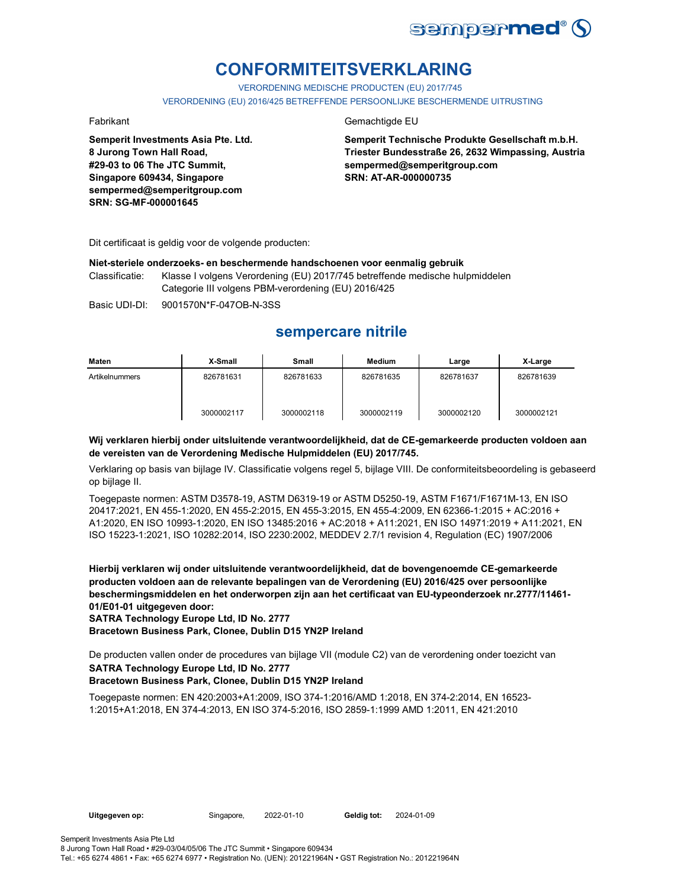

# **CONFORMITEITSVERKLARING**

VERORDENING MEDISCHE PRODUCTEN (EU) 2017/745 VERORDENING (EU) 2016/425 BETREFFENDE PERSOONLIJKE BESCHERMENDE UITRUSTING

**Semperit Investments Asia Pte. Ltd. 8 Jurong Town Hall Road, #29-03 to 06 The JTC Summit, Singapore 609434, Singapore sempermed@semperitgroup.com SRN: SG-MF-000001645**

### Fabrikant Gemachtigde EU

**Semperit Technische Produkte Gesellschaft m.b.H. Triester Bundesstraße 26, 2632 Wimpassing, Austria sempermed@semperitgroup.com SRN: AT-AR-000000735**

Dit certificaat is geldig voor de volgende producten:

### **Niet-steriele onderzoeks- en beschermende handschoenen voor eenmalig gebruik**

Classificatie: Klasse I volgens Verordening (EU) 2017/745 betreffende medische hulpmiddelen Categorie III volgens PBM-verordening (EU) 2016/425

Basic UDI-DI: 9001570N\*F-047OB-N-3SS

## **sempercare nitrile**

| Maten          | X-Small    | Small      | <b>Medium</b> | Large      | X-Large    |
|----------------|------------|------------|---------------|------------|------------|
| Artikelnummers | 826781631  | 826781633  | 826781635     | 826781637  | 826781639  |
|                | 3000002117 | 3000002118 | 3000002119    | 3000002120 | 3000002121 |

### **Wij verklaren hierbij onder uitsluitende verantwoordelijkheid, dat de CE-gemarkeerde producten voldoen aan de vereisten van de Verordening Medische Hulpmiddelen (EU) 2017/745.**

Verklaring op basis van bijlage IV. Classificatie volgens regel 5, bijlage VIII. De conformiteitsbeoordeling is gebaseerd op bijlage II.

Toegepaste normen: ASTM D3578-19, ASTM D6319-19 or ASTM D5250-19, ASTM F1671/F1671M-13, EN ISO 20417:2021, EN 455-1:2020, EN 455-2:2015, EN 455-3:2015, EN 455-4:2009, EN 62366-1:2015 + AC:2016 + A1:2020, EN ISO 10993-1:2020, EN ISO 13485:2016 + AC:2018 + A11:2021, EN ISO 14971:2019 + A11:2021, EN ISO 15223-1:2021, ISO 10282:2014, ISO 2230:2002, MEDDEV 2.7/1 revision 4, Regulation (EC) 1907/2006

**Hierbij verklaren wij onder uitsluitende verantwoordelijkheid, dat de bovengenoemde CE-gemarkeerde producten voldoen aan de relevante bepalingen van de Verordening (EU) 2016/425 over persoonlijke beschermingsmiddelen en het onderworpen zijn aan het certificaat van EU-typeonderzoek nr.2777/11461- 01/E01-01 uitgegeven door:**

**SATRA Technology Europe Ltd, ID No. 2777**

**Bracetown Business Park, Clonee, Dublin D15 YN2P Ireland**

De producten vallen onder de procedures van bijlage VII (module C2) van de verordening onder toezicht van

## **SATRA Technology Europe Ltd, ID No. 2777**

### **Bracetown Business Park, Clonee, Dublin D15 YN2P Ireland**

Toegepaste normen: EN 420:2003+A1:2009, ISO 374-1:2016/AMD 1:2018, EN 374-2:2014, EN 16523- 1:2015+A1:2018, EN 374-4:2013, EN ISO 374-5:2016, ISO 2859-1:1999 AMD 1:2011, EN 421:2010

Geldig tot: 2024-01-09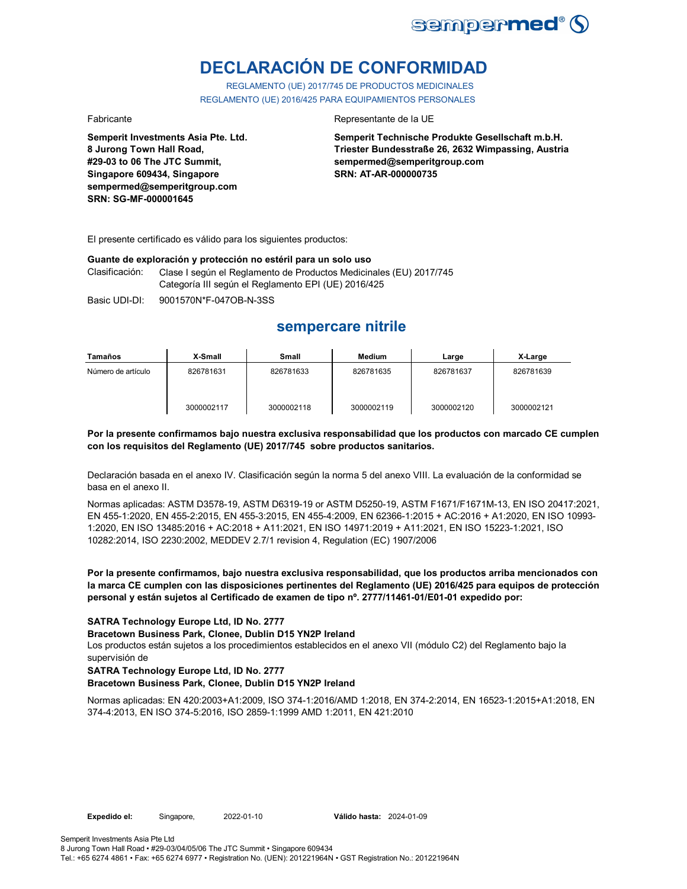

# **DECLARACIÓN DE CONFORMIDAD**

REGLAMENTO (UE) 2017/745 DE PRODUCTOS MEDICINALES REGLAMENTO (UE) 2016/425 PARA EQUIPAMIENTOS PERSONALES

**Semperit Investments Asia Pte. Ltd. 8 Jurong Town Hall Road, #29-03 to 06 The JTC Summit, Singapore 609434, Singapore sempermed@semperitgroup.com SRN: SG-MF-000001645**

### Fabricante **Representante de la UE**

**Semperit Technische Produkte Gesellschaft m.b.H. Triester Bundesstraße 26, 2632 Wimpassing, Austria sempermed@semperitgroup.com SRN: AT-AR-000000735**

El presente certificado es válido para los siguientes productos:

### **Guante de exploración y protección no estéril para un solo uso**

Clasificación: Clase I según el Reglamento de Productos Medicinales (EU) 2017/745 Categoría III según el Reglamento EPI (UE) 2016/425

Basic UDI-DI: 9001570N\*F-047OB-N-3SS

## **sempercare nitrile**

| Tamaños            | X-Small    | Small      | Medium     | Large      | X-Large    |
|--------------------|------------|------------|------------|------------|------------|
| Número de artículo | 826781631  | 826781633  | 826781635  | 826781637  | 826781639  |
|                    | 3000002117 | 3000002118 | 3000002119 | 3000002120 | 3000002121 |

### **Por la presente confirmamos bajo nuestra exclusiva responsabilidad que los productos con marcado CE cumplen con los requisitos del Reglamento (UE) 2017/745 sobre productos sanitarios.**

Declaración basada en el anexo IV. Clasificación según la norma 5 del anexo VIII. La evaluación de la conformidad se basa en el anexo II.

Normas aplicadas: ASTM D3578-19, ASTM D6319-19 or ASTM D5250-19, ASTM F1671/F1671M-13, EN ISO 20417:2021, EN 455-1:2020, EN 455-2:2015, EN 455-3:2015, EN 455-4:2009, EN 62366-1:2015 + AC:2016 + A1:2020, EN ISO 10993- 1:2020, EN ISO 13485:2016 + AC:2018 + A11:2021, EN ISO 14971:2019 + A11:2021, EN ISO 15223-1:2021, ISO 10282:2014, ISO 2230:2002, MEDDEV 2.7/1 revision 4, Regulation (EC) 1907/2006

**Por la presente confirmamos, bajo nuestra exclusiva responsabilidad, que los productos arriba mencionados con la marca CE cumplen con las disposiciones pertinentes del Reglamento (UE) 2016/425 para equipos de protección personal y están sujetos al Certificado de examen de tipo nº. 2777/11461-01/E01-01 expedido por:**

### **SATRA Technology Europe Ltd, ID No. 2777**

**Bracetown Business Park, Clonee, Dublin D15 YN2P Ireland**

Los productos están sujetos a los procedimientos establecidos en el anexo VII (módulo C2) del Reglamento bajo la supervisión de

### **SATRA Technology Europe Ltd, ID No. 2777**

### **Bracetown Business Park, Clonee, Dublin D15 YN2P Ireland**

Normas aplicadas: EN 420:2003+A1:2009, ISO 374-1:2016/AMD 1:2018, EN 374-2:2014, EN 16523-1:2015+A1:2018, EN 374-4:2013, EN ISO 374-5:2016, ISO 2859-1:1999 AMD 1:2011, EN 421:2010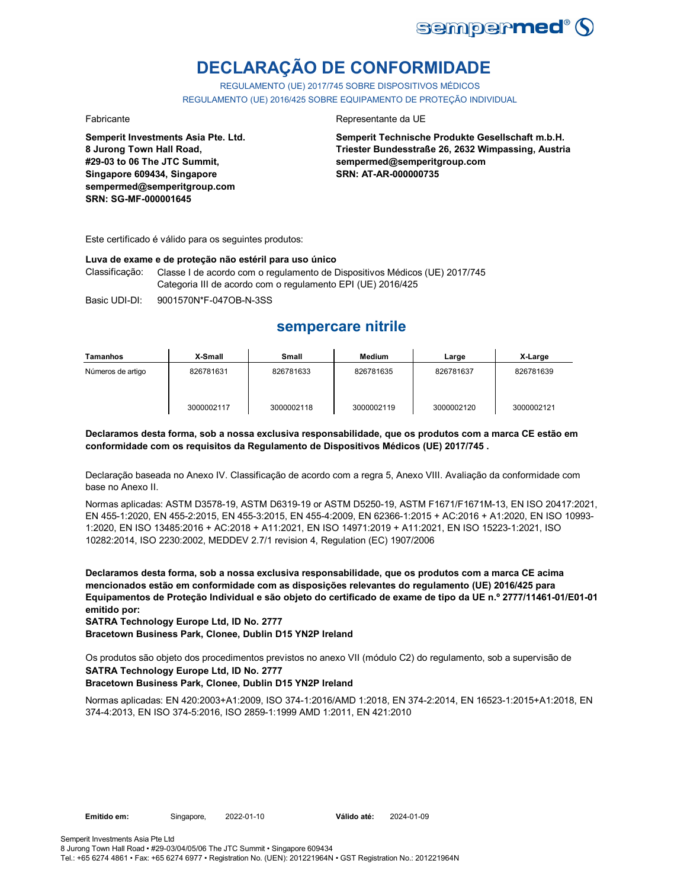

# **DECLARAÇÃO DE CONFORMIDADE**

REGULAMENTO (UE) 2017/745 SOBRE DISPOSITIVOS MÉDICOS REGULAMENTO (UE) 2016/425 SOBRE EQUIPAMENTO DE PROTEÇÃO INDIVIDUAL

**Semperit Investments Asia Pte. Ltd. 8 Jurong Town Hall Road, #29-03 to 06 The JTC Summit, Singapore 609434, Singapore sempermed@semperitgroup.com SRN: SG-MF-000001645**

### Fabricante da UE

**Semperit Technische Produkte Gesellschaft m.b.H. Triester Bundesstraße 26, 2632 Wimpassing, Austria sempermed@semperitgroup.com SRN: AT-AR-000000735**

Este certificado é válido para os seguintes produtos:

### **Luva de exame e de proteção não estéril para uso único**

Classificação: Classe I de acordo com o regulamento de Dispositivos Médicos (UE) 2017/745 Categoria III de acordo com o regulamento EPI (UE) 2016/425

Basic UDI-DI: 9001570N\*F-047OB-N-3SS

## **sempercare nitrile**

| Tamanhos          | X-Small    | <b>Small</b> | Medium     | Large      | X-Large    |
|-------------------|------------|--------------|------------|------------|------------|
| Números de artigo | 826781631  | 826781633    | 826781635  | 826781637  | 826781639  |
|                   | 3000002117 | 3000002118   | 3000002119 | 3000002120 | 3000002121 |

### **Declaramos desta forma, sob a nossa exclusiva responsabilidade, que os produtos com a marca CE estão em conformidade com os requisitos da Regulamento de Dispositivos Médicos (UE) 2017/745 .**

Declaração baseada no Anexo IV. Classificação de acordo com a regra 5, Anexo VIII. Avaliação da conformidade com base no Anexo II.

Normas aplicadas: ASTM D3578-19, ASTM D6319-19 or ASTM D5250-19, ASTM F1671/F1671M-13, EN ISO 20417:2021, EN 455-1:2020, EN 455-2:2015, EN 455-3:2015, EN 455-4:2009, EN 62366-1:2015 + AC:2016 + A1:2020, EN ISO 10993- 1:2020, EN ISO 13485:2016 + AC:2018 + A11:2021, EN ISO 14971:2019 + A11:2021, EN ISO 15223-1:2021, ISO 10282:2014, ISO 2230:2002, MEDDEV 2.7/1 revision 4, Regulation (EC) 1907/2006

**Declaramos desta forma, sob a nossa exclusiva responsabilidade, que os produtos com a marca CE acima mencionados estão em conformidade com as disposições relevantes do regulamento (UE) 2016/425 para Equipamentos de Proteção Individual e são objeto do certificado de exame de tipo da UE n.º 2777/11461-01/E01-01 emitido por:**

**SATRA Technology Europe Ltd, ID No. 2777**

**Bracetown Business Park, Clonee, Dublin D15 YN2P Ireland**

Os produtos são objeto dos procedimentos previstos no anexo VII (módulo C2) do regulamento, sob a supervisão de

### **SATRA Technology Europe Ltd, ID No. 2777**

### **Bracetown Business Park, Clonee, Dublin D15 YN2P Ireland**

Normas aplicadas: EN 420:2003+A1:2009, ISO 374-1:2016/AMD 1:2018, EN 374-2:2014, EN 16523-1:2015+A1:2018, EN 374-4:2013, EN ISO 374-5:2016, ISO 2859-1:1999 AMD 1:2011, EN 421:2010

Emitido em: Singapore, 2022-01-10 Válido até: 2022-01-10 2024-01-09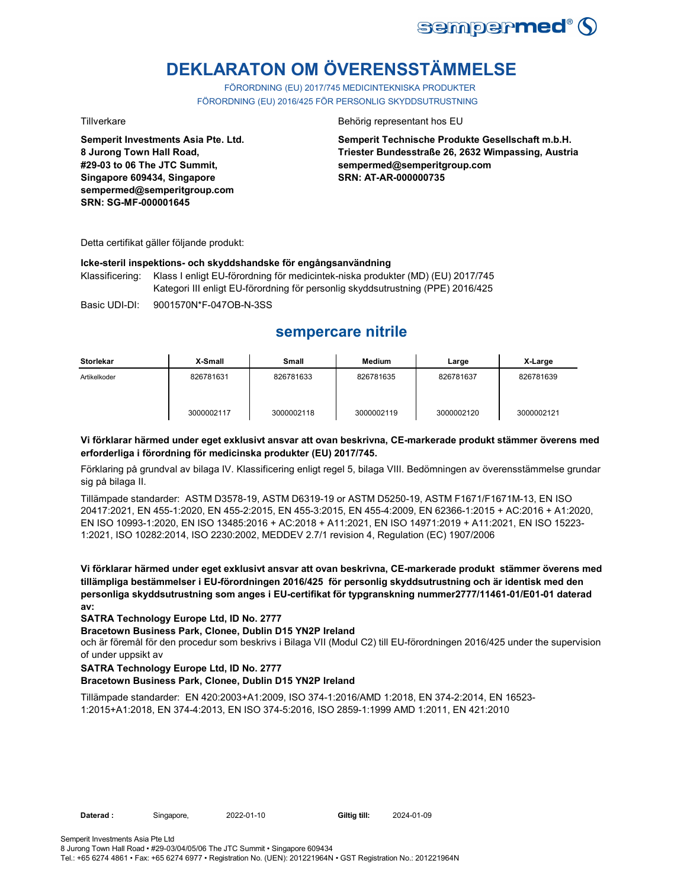

# **DEKLARATON OM ÖVERENSSTÄMMELSE**

FÖRORDNING (EU) 2017/745 MEDICINTEKNISKA PRODUKTER FÖRORDNING (EU) 2016/425 FÖR PERSONLIG SKYDDSUTRUSTNING

**Semperit Investments Asia Pte. Ltd. 8 Jurong Town Hall Road, #29-03 to 06 The JTC Summit, Singapore 609434, Singapore sempermed@semperitgroup.com SRN: SG-MF-000001645**

### Tillverkare Behörig representant hos EU

**Semperit Technische Produkte Gesellschaft m.b.H. Triester Bundesstraße 26, 2632 Wimpassing, Austria sempermed@semperitgroup.com SRN: AT-AR-000000735**

Detta certifikat gäller följande produkt:

### **Icke-steril inspektions- och skyddshandske för engångsanvändning**

Klassificering: Klass I enligt EU-förordning för medicintek-niska produkter (MD) (EU) 2017/745 Kategori III enligt EU-förordning för personlig skyddsutrustning (PPE) 2016/425

Basic UDI-DI: 9001570N\*F-047OB-N-3SS

## **sempercare nitrile**

| <b>Storlekar</b> | X-Small    | Small      | <b>Medium</b> | Large      | X-Large    |
|------------------|------------|------------|---------------|------------|------------|
| Artikelkoder     | 826781631  | 826781633  | 826781635     | 826781637  | 826781639  |
|                  | 3000002117 | 3000002118 | 3000002119    | 3000002120 | 3000002121 |

### **Vi förklarar härmed under eget exklusivt ansvar att ovan beskrivna, CE-markerade produkt stämmer överens med erforderliga i förordning för medicinska produkter (EU) 2017/745.**

Förklaring på grundval av bilaga IV. Klassificering enligt regel 5, bilaga VIII. Bedömningen av överensstämmelse grundar sig på bilaga II.

Tillämpade standarder: ASTM D3578-19, ASTM D6319-19 or ASTM D5250-19, ASTM F1671/F1671M-13, EN ISO 20417:2021, EN 455-1:2020, EN 455-2:2015, EN 455-3:2015, EN 455-4:2009, EN 62366-1:2015 + AC:2016 + A1:2020, EN ISO 10993-1:2020, EN ISO 13485:2016 + AC:2018 + A11:2021, EN ISO 14971:2019 + A11:2021, EN ISO 15223- 1:2021, ISO 10282:2014, ISO 2230:2002, MEDDEV 2.7/1 revision 4, Regulation (EC) 1907/2006

**Vi förklarar härmed under eget exklusivt ansvar att ovan beskrivna, CE-markerade produkt stämmer överens med tillämpliga bestämmelser i EU-förordningen 2016/425 för personlig skyddsutrustning och är identisk med den personliga skyddsutrustning som anges i EU-certifikat för typgranskning nummer2777/11461-01/E01-01 daterad av:**

### **SATRA Technology Europe Ltd, ID No. 2777**

### **Bracetown Business Park, Clonee, Dublin D15 YN2P Ireland**

och är föremål för den procedur som beskrivs i Bilaga VII (Modul C2) till EU-förordningen 2016/425 under the supervision of under uppsikt av

### **SATRA Technology Europe Ltd, ID No. 2777**

### **Bracetown Business Park, Clonee, Dublin D15 YN2P Ireland**

Tillämpade standarder: EN 420:2003+A1:2009, ISO 374-1:2016/AMD 1:2018, EN 374-2:2014, EN 16523- 1:2015+A1:2018, EN 374-4:2013, EN ISO 374-5:2016, ISO 2859-1:1999 AMD 1:2011, EN 421:2010

2024-01-09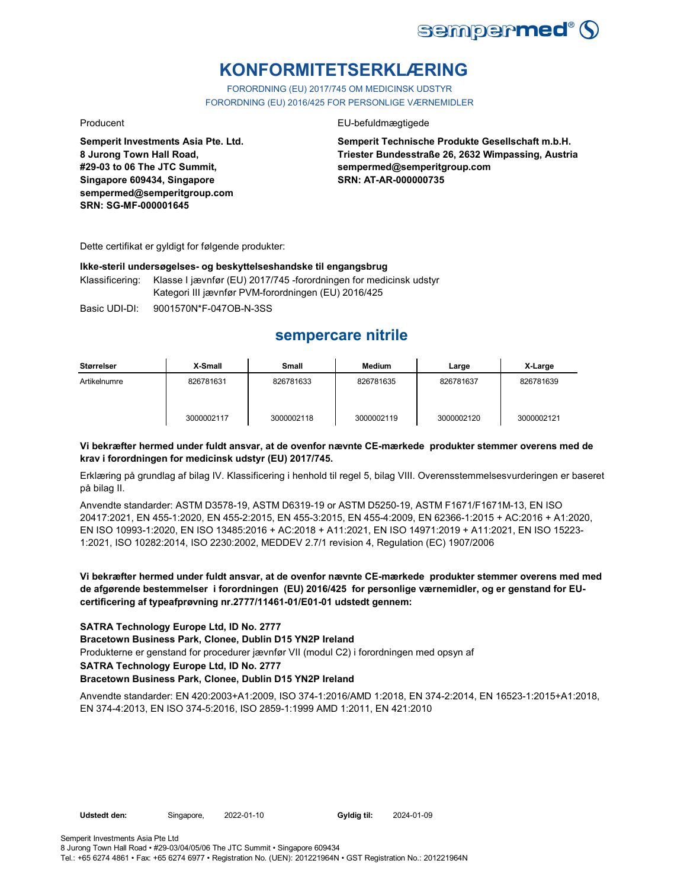

# **KONFORMITETSERKLÆRING**

FORORDNING (EU) 2017/745 OM MEDICINSK UDSTYR FORORDNING (EU) 2016/425 FOR PERSONLIGE VÆRNEMIDLER

Producent **EU-befuldmægtigede** 

**Semperit Technische Produkte Gesellschaft m.b.H. Triester Bundesstraße 26, 2632 Wimpassing, Austria sempermed@semperitgroup.com SRN: AT-AR-000000735**

Dette certifikat er gyldigt for følgende produkter:

**Semperit Investments Asia Pte. Ltd.**

**8 Jurong Town Hall Road, #29-03 to 06 The JTC Summit, Singapore 609434, Singapore sempermed@semperitgroup.com**

**SRN: SG-MF-000001645**

### **Ikke-steril undersøgelses- og beskyttelseshandske til engangsbrug**

Klassificering: Klasse I jævnfør (EU) 2017/745 -forordningen for medicinsk udstyr Kategori III jævnfør PVM-forordningen (EU) 2016/425

Basic UDI-DI: 9001570N\*F-047OB-N-3SS

## **sempercare nitrile**

| Størrelser   | X-Small    | <b>Small</b> | <b>Medium</b> | Large      | X-Large    |
|--------------|------------|--------------|---------------|------------|------------|
| Artikelnumre | 826781631  | 826781633    | 826781635     | 826781637  | 826781639  |
|              | 3000002117 | 3000002118   | 3000002119    | 3000002120 | 3000002121 |

### **Vi bekræfter hermed under fuldt ansvar, at de ovenfor nævnte CE-mærkede produkter stemmer overens med de krav i forordningen for medicinsk udstyr (EU) 2017/745.**

Erklæring på grundlag af bilag IV. Klassificering i henhold til regel 5, bilag VIII. Overensstemmelsesvurderingen er baseret på bilag II.

Anvendte standarder: ASTM D3578-19, ASTM D6319-19 or ASTM D5250-19, ASTM F1671/F1671M-13, EN ISO 20417:2021, EN 455-1:2020, EN 455-2:2015, EN 455-3:2015, EN 455-4:2009, EN 62366-1:2015 + AC:2016 + A1:2020, EN ISO 10993-1:2020, EN ISO 13485:2016 + AC:2018 + A11:2021, EN ISO 14971:2019 + A11:2021, EN ISO 15223- 1:2021, ISO 10282:2014, ISO 2230:2002, MEDDEV 2.7/1 revision 4, Regulation (EC) 1907/2006

### **Vi bekræfter hermed under fuldt ansvar, at de ovenfor nævnte CE-mærkede produkter stemmer overens med med de afgørende bestemmelser i forordningen (EU) 2016/425 for personlige værnemidler, og er genstand for EUcertificering af typeafprøvning nr.2777/11461-01/E01-01 udstedt gennem:**

### **SATRA Technology Europe Ltd, ID No. 2777**

**Bracetown Business Park, Clonee, Dublin D15 YN2P Ireland**

Produkterne er genstand for procedurer jævnfør VII (modul C2) i forordningen med opsyn af

**SATRA Technology Europe Ltd, ID No. 2777**

### **Bracetown Business Park, Clonee, Dublin D15 YN2P Ireland**

Anvendte standarder: EN 420:2003+A1:2009, ISO 374-1:2016/AMD 1:2018, EN 374-2:2014, EN 16523-1:2015+A1:2018, EN 374-4:2013, EN ISO 374-5:2016, ISO 2859-1:1999 AMD 1:2011, EN 421:2010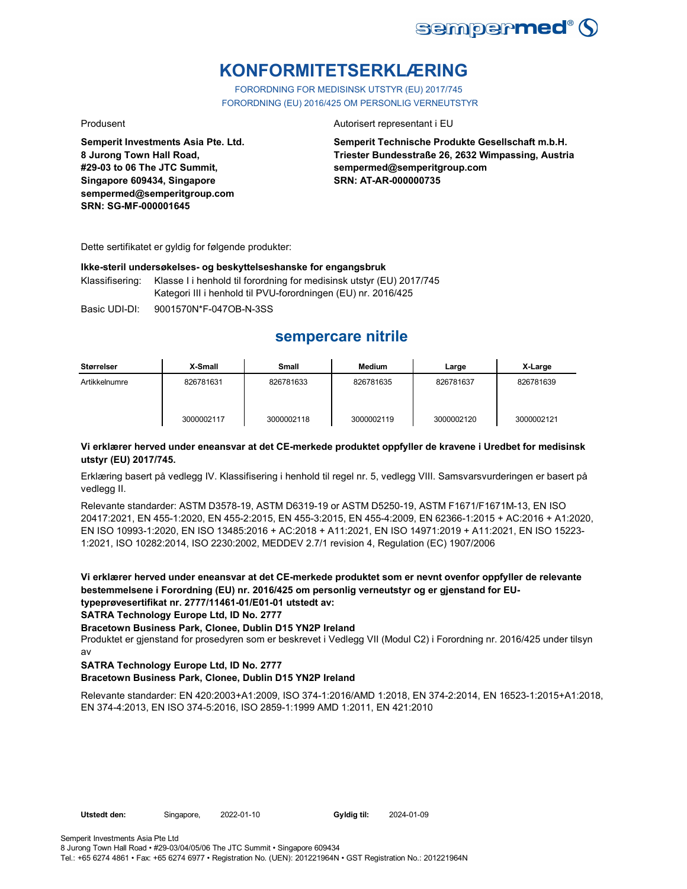

# **KONFORMITETSERKLÆRING**

FORORDNING FOR MEDISINSK UTSTYR (EU) 2017/745 FORORDNING (EU) 2016/425 OM PERSONLIG VERNEUTSTYR

**Semperit Investments Asia Pte. Ltd. 8 Jurong Town Hall Road, #29-03 to 06 The JTC Summit, Singapore 609434, Singapore sempermed@semperitgroup.com SRN: SG-MF-000001645**

### Produsent **Autorisert representant i EU**

**Semperit Technische Produkte Gesellschaft m.b.H. Triester Bundesstraße 26, 2632 Wimpassing, Austria sempermed@semperitgroup.com SRN: AT-AR-000000735**

Dette sertifikatet er gyldig for følgende produkter:

### **Ikke-steril undersøkelses- og beskyttelseshanske for engangsbruk**

Klassifisering: Klasse I i henhold til forordning for medisinsk utstyr (EU) 2017/745 Kategori III i henhold til PVU-forordningen (EU) nr. 2016/425

Basic UDI-DI: 9001570N\*F-047OB-N-3SS

## **sempercare nitrile**

| <b>Størrelser</b> | X-Small    | <b>Small</b> | Medium     | Large      | X-Large    |
|-------------------|------------|--------------|------------|------------|------------|
| Artikkelnumre     | 826781631  | 826781633    | 826781635  | 826781637  | 826781639  |
|                   | 3000002117 | 3000002118   | 3000002119 | 3000002120 | 3000002121 |

### **Vi erklærer herved under eneansvar at det CE-merkede produktet oppfyller de kravene i Uredbet for medisinsk utstyr (EU) 2017/745.**

Erklæring basert på vedlegg IV. Klassifisering i henhold til regel nr. 5, vedlegg VIII. Samsvarsvurderingen er basert på vedlegg II.

Relevante standarder: ASTM D3578-19, ASTM D6319-19 or ASTM D5250-19, ASTM F1671/F1671M-13, EN ISO 20417:2021, EN 455-1:2020, EN 455-2:2015, EN 455-3:2015, EN 455-4:2009, EN 62366-1:2015 + AC:2016 + A1:2020, EN ISO 10993-1:2020, EN ISO 13485:2016 + AC:2018 + A11:2021, EN ISO 14971:2019 + A11:2021, EN ISO 15223- 1:2021, ISO 10282:2014, ISO 2230:2002, MEDDEV 2.7/1 revision 4, Regulation (EC) 1907/2006

**Vi erklærer herved under eneansvar at det CE-merkede produktet som er nevnt ovenfor oppfyller de relevante bestemmelsene i Forordning (EU) nr. 2016/425 om personlig verneutstyr og er gjenstand for EUtypeprøvesertifikat nr. 2777/11461-01/E01-01 utstedt av:**

**SATRA Technology Europe Ltd, ID No. 2777**

### **Bracetown Business Park, Clonee, Dublin D15 YN2P Ireland**

Produktet er gjenstand for prosedyren som er beskrevet i Vedlegg VII (Modul C2) i Forordning nr. 2016/425 under tilsyn av

### **SATRA Technology Europe Ltd, ID No. 2777**

### **Bracetown Business Park, Clonee, Dublin D15 YN2P Ireland**

Relevante standarder: EN 420:2003+A1:2009, ISO 374-1:2016/AMD 1:2018, EN 374-2:2014, EN 16523-1:2015+A1:2018, EN 374-4:2013, EN ISO 374-5:2016, ISO 2859-1:1999 AMD 1:2011, EN 421:2010

Gyldig til: 2024-01-09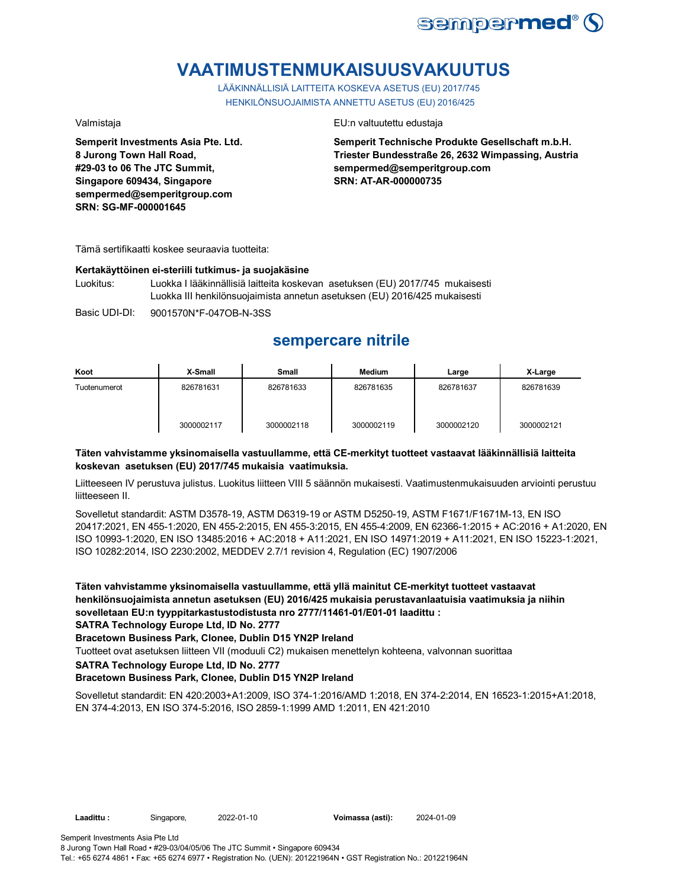

# **VAATIMUSTENMUKAISUUSVAKUUTUS**

LÄÄKINNÄLLISIÄ LAITTEITA KOSKEVA ASETUS (EU) 2017/745 HENKILÖNSUOJAIMISTA ANNETTU ASETUS (EU) 2016/425

**Semperit Investments Asia Pte. Ltd. 8 Jurong Town Hall Road, #29-03 to 06 The JTC Summit, Singapore 609434, Singapore sempermed@semperitgroup.com SRN: SG-MF-000001645**

### Valmistaja EU:n valtuutettu edustaja

**Semperit Technische Produkte Gesellschaft m.b.H. Triester Bundesstraße 26, 2632 Wimpassing, Austria sempermed@semperitgroup.com SRN: AT-AR-000000735**

Tämä sertifikaatti koskee seuraavia tuotteita:

### **Kertakäyttöinen ei-steriili tutkimus- ja suojakäsine**

Luokitus: Luokka I lääkinnällisiä laitteita koskevan asetuksen (EU) 2017/745 mukaisesti Luokka III henkilönsuojaimista annetun asetuksen (EU) 2016/425 mukaisesti

Basic UDI-DI: 9001570N\*F-047OB-N-3SS

## **sempercare nitrile**

| Koot         | X-Small    | Small      | <b>Medium</b> | Large      | X-Large    |
|--------------|------------|------------|---------------|------------|------------|
| Tuotenumerot | 826781631  | 826781633  | 826781635     | 826781637  | 826781639  |
|              | 3000002117 | 3000002118 | 3000002119    | 3000002120 | 3000002121 |

### **Täten vahvistamme yksinomaisella vastuullamme, että CE-merkityt tuotteet vastaavat lääkinnällisiä laitteita koskevan asetuksen (EU) 2017/745 mukaisia vaatimuksia.**

Liitteeseen IV perustuva julistus. Luokitus liitteen VIII 5 säännön mukaisesti. Vaatimustenmukaisuuden arviointi perustuu liitteeseen II.

Sovelletut standardit: ASTM D3578-19, ASTM D6319-19 or ASTM D5250-19, ASTM F1671/F1671M-13, EN ISO 20417:2021, EN 455-1:2020, EN 455-2:2015, EN 455-3:2015, EN 455-4:2009, EN 62366-1:2015 + AC:2016 + A1:2020, EN ISO 10993-1:2020, EN ISO 13485:2016 + AC:2018 + A11:2021, EN ISO 14971:2019 + A11:2021, EN ISO 15223-1:2021, ISO 10282:2014, ISO 2230:2002, MEDDEV 2.7/1 revision 4, Regulation (EC) 1907/2006

**Täten vahvistamme yksinomaisella vastuullamme, että yllä mainitut CE-merkityt tuotteet vastaavat henkilönsuojaimista annetun asetuksen (EU) 2016/425 mukaisia perustavanlaatuisia vaatimuksia ja niihin sovelletaan EU:n tyyppitarkastustodistusta nro 2777/11461-01/E01-01 laadittu :**

**SATRA Technology Europe Ltd, ID No. 2777**

### **Bracetown Business Park, Clonee, Dublin D15 YN2P Ireland**

Tuotteet ovat asetuksen liitteen VII (moduuli C2) mukaisen menettelyn kohteena, valvonnan suorittaa

**SATRA Technology Europe Ltd, ID No. 2777**

### **Bracetown Business Park, Clonee, Dublin D15 YN2P Ireland**

8 Jurong Town Hall Road • #29-03/04/05/06 The JTC Summit • Singapore 609434

Sovelletut standardit: EN 420:2003+A1:2009, ISO 374-1:2016/AMD 1:2018, EN 374-2:2014, EN 16523-1:2015+A1:2018, EN 374-4:2013, EN ISO 374-5:2016, ISO 2859-1:1999 AMD 1:2011, EN 421:2010

Semperit Investments Asia Pte Ltd

Tel.: +65 6274 4861 • Fax: +65 6274 6977 • Registration No. (UEN): 201221964N • GST Registration No.: 201221964N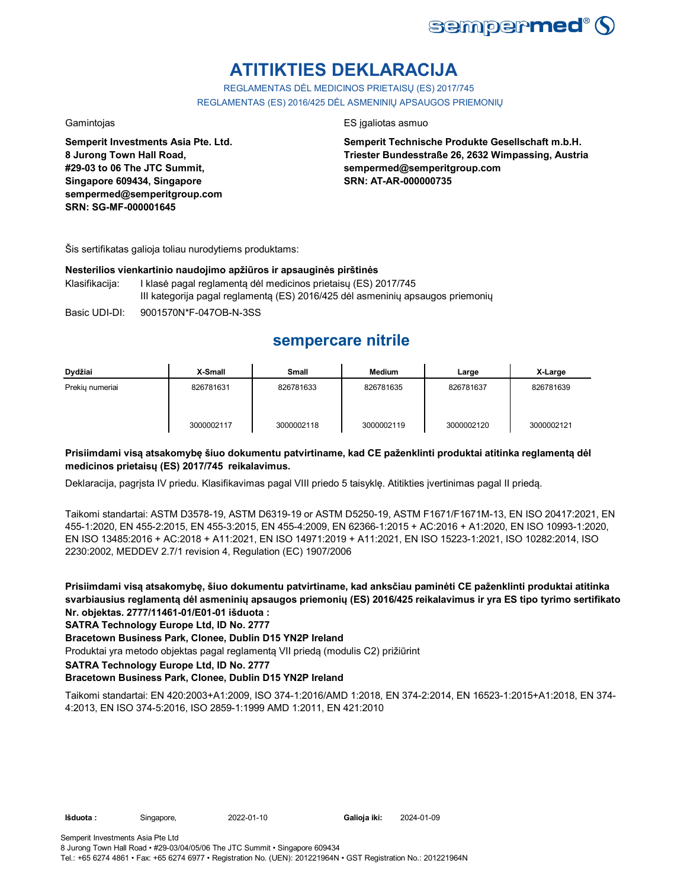

# **ATITIKTIES DEKLARACIJA**

REGLAMENTAS DĖL MEDICINOS PRIETAISŲ (ES) 2017/745 REGLAMENTAS (ES) 2016/425 DĖL ASMENINIŲ APSAUGOS PRIEMONIŲ

**Semperit Investments Asia Pte. Ltd. 8 Jurong Town Hall Road, #29-03 to 06 The JTC Summit, Singapore 609434, Singapore sempermed@semperitgroup.com SRN: SG-MF-000001645**

### Gamintojas ES įgaliotas asmuo

**Semperit Technische Produkte Gesellschaft m.b.H. Triester Bundesstraße 26, 2632 Wimpassing, Austria sempermed@semperitgroup.com SRN: AT-AR-000000735**

Šis sertifikatas galioja toliau nurodytiems produktams:

### **Nesterilios vienkartinio naudojimo apžiūros ir apsauginės pirštinės**

Klasifikacija: I klasė pagal reglamentą dėl medicinos prietaisų (ES) 2017/745 III kategorija pagal reglamentą (ES) 2016/425 dėl asmeninių apsaugos priemonių

Basic UDI-DI: 9001570N\*F-047OB-N-3SS

# **sempercare nitrile**

| Dydžiai         | X-Small    | Small      | <b>Medium</b> | Large      | X-Large    |
|-----------------|------------|------------|---------------|------------|------------|
| Prekiu numeriai | 826781631  | 826781633  | 826781635     | 826781637  | 826781639  |
|                 | 3000002117 | 3000002118 | 3000002119    | 3000002120 | 3000002121 |

### **Prisiimdami visą atsakomybę šiuo dokumentu patvirtiname, kad CE paženklinti produktai atitinka reglamentą dėl medicinos prietaisų (ES) 2017/745 reikalavimus.**

Deklaracija, pagrįsta IV priedu. Klasifikavimas pagal VIII priedo 5 taisyklę. Atitikties įvertinimas pagal II priedą.

Taikomi standartai: ASTM D3578-19, ASTM D6319-19 or ASTM D5250-19, ASTM F1671/F1671M-13, EN ISO 20417:2021, EN 455-1:2020, EN 455-2:2015, EN 455-3:2015, EN 455-4:2009, EN 62366-1:2015 + AC:2016 + A1:2020, EN ISO 10993-1:2020, EN ISO 13485:2016 + AC:2018 + A11:2021, EN ISO 14971:2019 + A11:2021, EN ISO 15223-1:2021, ISO 10282:2014, ISO 2230:2002, MEDDEV 2.7/1 revision 4, Regulation (EC) 1907/2006

**Prisiimdami visą atsakomybę, šiuo dokumentu patvirtiname, kad anksčiau paminėti CE paženklinti produktai atitinka svarbiausius reglamentą dėl asmeninių apsaugos priemonių (ES) 2016/425 reikalavimus ir yra ES tipo tyrimo sertifikato Nr. objektas. 2777/11461-01/E01-01 išduota :**

### **SATRA Technology Europe Ltd, ID No. 2777**

### **Bracetown Business Park, Clonee, Dublin D15 YN2P Ireland**

Produktai yra metodo objektas pagal reglamentą VII priedą (modulis C2) prižiūrint

**SATRA Technology Europe Ltd, ID No. 2777**

### **Bracetown Business Park, Clonee, Dublin D15 YN2P Ireland**

Taikomi standartai: EN 420:2003+A1:2009, ISO 374-1:2016/AMD 1:2018, EN 374-2:2014, EN 16523-1:2015+A1:2018, EN 374- 4:2013, EN ISO 374-5:2016, ISO 2859-1:1999 AMD 1:2011, EN 421:2010

Galioja iki: 2024-01-09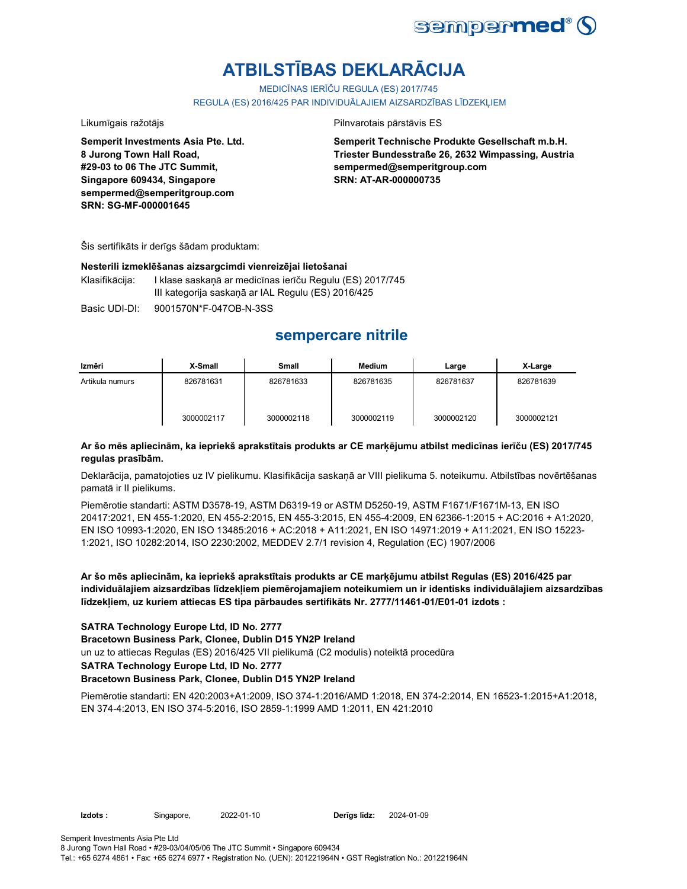

# **ATBILSTĪBAS DEKLARĀCIJA**

MEDICĪNAS IERĪČU REGULA (ES) 2017/745

REGULA (ES) 2016/425 PAR INDIVIDUĀLAJIEM AIZSARDZĪBAS LĪDZEKLIEM

**8 Jurong Town Hall Road, #29-03 to 06 The JTC Summit, Singapore 609434, Singapore sempermed@semperitgroup.com**

**SRN: SG-MF-000001645**

### Likumīgais ražotājs **Pilnvarotais pārstāvis ES**

**Semperit Technische Produkte Gesellschaft m.b.H. Triester Bundesstraße 26, 2632 Wimpassing, Austria sempermed@semperitgroup.com SRN: AT-AR-000000735**

Šis sertifikāts ir derīgs šādam produktam:

**Semperit Investments Asia Pte. Ltd.**

### **Nesterili izmeklēšanas aizsargcimdi vienreizējai lietošanai**

Klasifikācija: I klase saskaņā ar medicīnas ierīču Regulu (ES) 2017/745 III kategorija saskaņā ar IAL Regulu (ES) 2016/425

Basic UDI-DI: 9001570N\*F-047OB-N-3SS

## **sempercare nitrile**

| Izmēri          | X-Small    | Small      | Medium     | Large      | X-Large    |
|-----------------|------------|------------|------------|------------|------------|
| Artikula numurs | 826781631  | 826781633  | 826781635  | 826781637  | 826781639  |
|                 | 3000002117 | 3000002118 | 3000002119 | 3000002120 | 3000002121 |

### **Ar šo mēs apliecinām, ka iepriekš aprakstītais produkts ar CE marķējumu atbilst medicīnas ierīču (ES) 2017/745 regulas prasībām.**

Deklarācija, pamatojoties uz IV pielikumu. Klasifikācija saskaņā ar VIII pielikuma 5. noteikumu. Atbilstības novērtēšanas pamatā ir II pielikums.

Piemērotie standarti: ASTM D3578-19, ASTM D6319-19 or ASTM D5250-19, ASTM F1671/F1671M-13, EN ISO 20417:2021, EN 455-1:2020, EN 455-2:2015, EN 455-3:2015, EN 455-4:2009, EN 62366-1:2015 + AC:2016 + A1:2020, EN ISO 10993-1:2020, EN ISO 13485:2016 + AC:2018 + A11:2021, EN ISO 14971:2019 + A11:2021, EN ISO 15223- 1:2021, ISO 10282:2014, ISO 2230:2002, MEDDEV 2.7/1 revision 4, Regulation (EC) 1907/2006

**Ar šo mēs apliecinām, ka iepriekš aprakstītais produkts ar CE marķējumu atbilst Regulas (ES) 2016/425 par individuālajiem aizsardzības līdzekļiem piemērojamajiem noteikumiem un ir identisks individuālajiem aizsardzības līdzekļiem, uz kuriem attiecas ES tipa pārbaudes sertifikāts Nr. 2777/11461-01/E01-01 izdots :**

### **SATRA Technology Europe Ltd, ID No. 2777**

**Bracetown Business Park, Clonee, Dublin D15 YN2P Ireland**

un uz to attiecas Regulas (ES) 2016/425 VII pielikumā (C2 modulis) noteiktā procedūra

**SATRA Technology Europe Ltd, ID No. 2777**

### **Bracetown Business Park, Clonee, Dublin D15 YN2P Ireland**

Piemērotie standarti: EN 420:2003+A1:2009, ISO 374-1:2016/AMD 1:2018, EN 374-2:2014, EN 16523-1:2015+A1:2018, EN 374-4:2013, EN ISO 374-5:2016, ISO 2859-1:1999 AMD 1:2011, EN 421:2010

**Izdots :** Singapore, 2022-01-10 **Derīgs līdz:** 

2024-01-09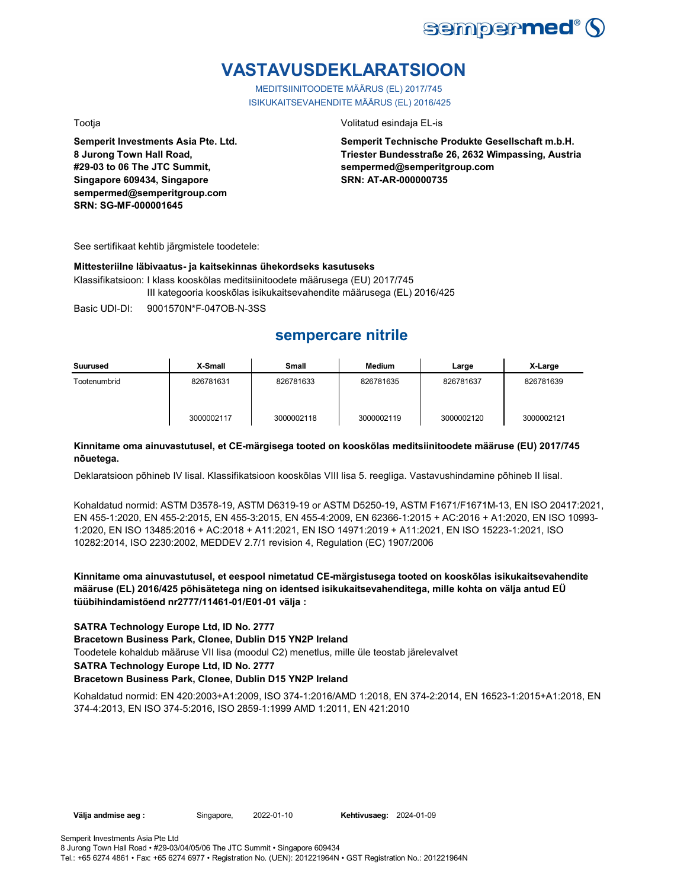

# **VASTAVUSDEKLARATSIOON**

MEDITSIINITOODETE MÄÄRUS (EL) 2017/745 ISIKUKAITSEVAHENDITE MÄÄRUS (EL) 2016/425

**Semperit Investments Asia Pte. Ltd. 8 Jurong Town Hall Road, #29-03 to 06 The JTC Summit, Singapore 609434, Singapore sempermed@semperitgroup.com SRN: SG-MF-000001645**

### Tootja Volitatud esindaja EL-is

**Semperit Technische Produkte Gesellschaft m.b.H. Triester Bundesstraße 26, 2632 Wimpassing, Austria sempermed@semperitgroup.com SRN: AT-AR-000000735**

See sertifikaat kehtib järgmistele toodetele:

### **Mittesteriilne läbivaatus- ja kaitsekinnas ühekordseks kasutuseks**

Klassifikatsioon: I klass kooskõlas meditsiinitoodete määrusega (EU) 2017/745 III kategooria kooskõlas isikukaitsevahendite määrusega (EL) 2016/425

Basic UDI-DI: 9001570N\*F-047OB-N-3SS

## **sempercare nitrile**

| Suurused     | X-Small    | <b>Small</b> | Medium     | Large      | X-Large    |
|--------------|------------|--------------|------------|------------|------------|
| Tootenumbrid | 826781631  | 826781633    | 826781635  | 826781637  | 826781639  |
|              | 3000002117 | 3000002118   | 3000002119 | 3000002120 | 3000002121 |

### **Kinnitame oma ainuvastutusel, et CE-märgisega tooted on kooskõlas meditsiinitoodete määruse (EU) 2017/745 nõuetega.**

Deklaratsioon põhineb IV lisal. Klassifikatsioon kooskõlas VIII lisa 5. reegliga. Vastavushindamine põhineb II lisal.

Kohaldatud normid: ASTM D3578-19, ASTM D6319-19 or ASTM D5250-19, ASTM F1671/F1671M-13, EN ISO 20417:2021, EN 455-1:2020, EN 455-2:2015, EN 455-3:2015, EN 455-4:2009, EN 62366-1:2015 + AC:2016 + A1:2020, EN ISO 10993- 1:2020, EN ISO 13485:2016 + AC:2018 + A11:2021, EN ISO 14971:2019 + A11:2021, EN ISO 15223-1:2021, ISO 10282:2014, ISO 2230:2002, MEDDEV 2.7/1 revision 4, Regulation (EC) 1907/2006

**Kinnitame oma ainuvastutusel, et eespool nimetatud CE-märgistusega tooted on kooskõlas isikukaitsevahendite määruse (EL) 2016/425 põhisätetega ning on identsed isikukaitsevahenditega, mille kohta on välja antud EÜ tüübihindamistõend nr2777/11461-01/E01-01 välja :**

### **SATRA Technology Europe Ltd, ID No. 2777**

**Bracetown Business Park, Clonee, Dublin D15 YN2P Ireland**

Toodetele kohaldub määruse VII lisa (moodul C2) menetlus, mille üle teostab järelevalvet

### **SATRA Technology Europe Ltd, ID No. 2777**

### **Bracetown Business Park, Clonee, Dublin D15 YN2P Ireland**

Kohaldatud normid: EN 420:2003+A1:2009, ISO 374-1:2016/AMD 1:2018, EN 374-2:2014, EN 16523-1:2015+A1:2018, EN 374-4:2013, EN ISO 374-5:2016, ISO 2859-1:1999 AMD 1:2011, EN 421:2010

**Välja andmise aeg :** Singapore, 2022-01-10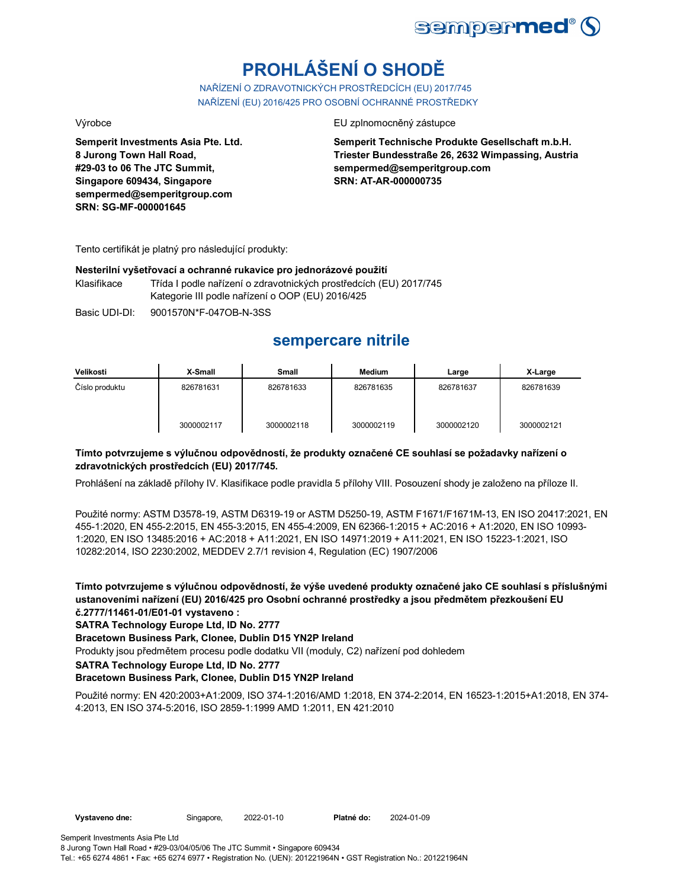

# **PROHLÁŠENÍ O SHODĚ**

NAŘÍZENÍ O ZDRAVOTNICKÝCH PROSTŘEDCÍCH (EU) 2017/745 NAŘÍZENÍ (EU) 2016/425 PRO OSOBNÍ OCHRANNÉ PROSTŘEDKY

**Semperit Investments Asia Pte. Ltd. 8 Jurong Town Hall Road, #29-03 to 06 The JTC Summit, Singapore 609434, Singapore sempermed@semperitgroup.com SRN: SG-MF-000001645**

### Výrobce EU zplnomocněný zástupce

**Semperit Technische Produkte Gesellschaft m.b.H. Triester Bundesstraße 26, 2632 Wimpassing, Austria sempermed@semperitgroup.com SRN: AT-AR-000000735**

Tento certifikát je platný pro následující produkty:

### **Nesterilní vyšetřovací a ochranné rukavice pro jednorázové použití**

Klasifikace Třída I podle nařízení o zdravotnických prostředcích (EU) 2017/745 Kategorie III podle nařízení o OOP (EU) 2016/425

Basic UDI-DI: 9001570N\*F-047OB-N-3SS

## **sempercare nitrile**

| Velikosti      | X-Small    | Small      | <b>Medium</b> | Large      | X-Large    |
|----------------|------------|------------|---------------|------------|------------|
| Číslo produktu | 826781631  | 826781633  | 826781635     | 826781637  | 826781639  |
|                | 3000002117 | 3000002118 | 3000002119    | 3000002120 | 3000002121 |

### **Tímto potvrzujeme s výlučnou odpovědností, že produkty označené CE souhlasí se požadavky nařízení o zdravotnických prostředcích (EU) 2017/745.**

Prohlášení na základě přílohy IV. Klasifikace podle pravidla 5 přílohy VIII. Posouzení shody je založeno na příloze II.

Použité normy: ASTM D3578-19, ASTM D6319-19 or ASTM D5250-19, ASTM F1671/F1671M-13, EN ISO 20417:2021, EN 455-1:2020, EN 455-2:2015, EN 455-3:2015, EN 455-4:2009, EN 62366-1:2015 + AC:2016 + A1:2020, EN ISO 10993- 1:2020, EN ISO 13485:2016 + AC:2018 + A11:2021, EN ISO 14971:2019 + A11:2021, EN ISO 15223-1:2021, ISO 10282:2014, ISO 2230:2002, MEDDEV 2.7/1 revision 4, Regulation (EC) 1907/2006

**Tímto potvrzujeme s výlučnou odpovědností, že výše uvedené produkty označené jako CE souhlasí s příslušnými ustanoveními nařízení (EU) 2016/425 pro Osobní ochranné prostředky a jsou předmětem přezkoušení EU č.2777/11461-01/E01-01 vystaveno :**

**SATRA Technology Europe Ltd, ID No. 2777**

**Bracetown Business Park, Clonee, Dublin D15 YN2P Ireland**

Produkty jsou předmětem procesu podle dodatku VII (moduly, C2) nařízení pod dohledem

**SATRA Technology Europe Ltd, ID No. 2777**

### **Bracetown Business Park, Clonee, Dublin D15 YN2P Ireland**

Použité normy: EN 420:2003+A1:2009, ISO 374-1:2016/AMD 1:2018, EN 374-2:2014, EN 16523-1:2015+A1:2018, EN 374- 4:2013, EN ISO 374-5:2016, ISO 2859-1:1999 AMD 1:2011, EN 421:2010

2024-01-09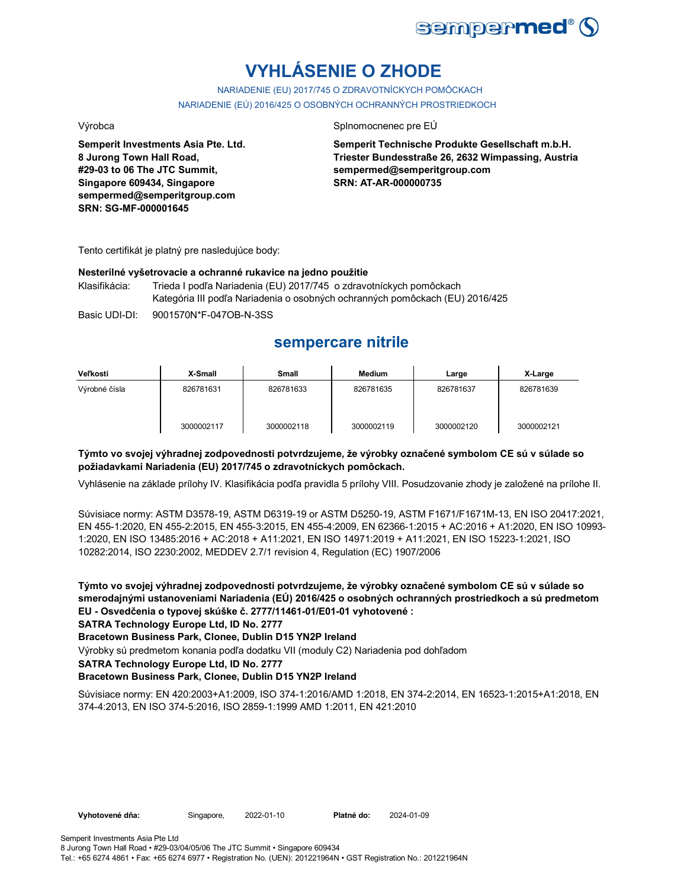

# **VYHLÁSENIE O ZHODE**

NARIADENIE (EU) 2017/745 O ZDRAVOTNÍCKYCH POMÔCKACH NARIADENIE (EÚ) 2016/425 O OSOBNÝCH OCHRANNÝCH PROSTRIEDKOCH

**Semperit Investments Asia Pte. Ltd. 8 Jurong Town Hall Road, #29-03 to 06 The JTC Summit, Singapore 609434, Singapore sempermed@semperitgroup.com SRN: SG-MF-000001645**

### Výrobca Splnomocnenec pre EÚ

**Semperit Technische Produkte Gesellschaft m.b.H. Triester Bundesstraße 26, 2632 Wimpassing, Austria sempermed@semperitgroup.com SRN: AT-AR-000000735**

Tento certifikát je platný pre nasledujúce body:

### **Nesterilné vyšetrovacie a ochranné rukavice na jedno použitie**

Klasifikácia: Trieda I podľa Nariadenia (EU) 2017/745 o zdravotníckych pomôckach Kategória III podľa Nariadenia o osobných ochranných pomôckach (EU) 2016/425

Basic UDI-DI: 9001570N\*F-047OB-N-3SS

## **sempercare nitrile**

| Veľkosti      | X-Small    | <b>Small</b> | <b>Medium</b> | Large      | X-Large    |
|---------------|------------|--------------|---------------|------------|------------|
| Výrobné čísla | 826781631  | 826781633    | 826781635     | 826781637  | 826781639  |
|               | 3000002117 | 3000002118   | 3000002119    | 3000002120 | 3000002121 |

### **Týmto vo svojej výhradnej zodpovednosti potvrdzujeme, že výrobky označené symbolom CE sú v súlade so požiadavkami Nariadenia (EU) 2017/745 o zdravotníckych pomôckach.**

Vyhlásenie na základe prílohy IV. Klasifikácia podľa pravidla 5 prílohy VIII. Posudzovanie zhody je založené na prílohe II.

Súvisiace normy: ASTM D3578-19, ASTM D6319-19 or ASTM D5250-19, ASTM F1671/F1671M-13, EN ISO 20417:2021, EN 455-1:2020, EN 455-2:2015, EN 455-3:2015, EN 455-4:2009, EN 62366-1:2015 + AC:2016 + A1:2020, EN ISO 10993- 1:2020, EN ISO 13485:2016 + AC:2018 + A11:2021, EN ISO 14971:2019 + A11:2021, EN ISO 15223-1:2021, ISO 10282:2014, ISO 2230:2002, MEDDEV 2.7/1 revision 4, Regulation (EC) 1907/2006

**Týmto vo svojej výhradnej zodpovednosti potvrdzujeme, že výrobky označené symbolom CE sú v súlade so smerodajnými ustanoveniami Nariadenia (EÚ) 2016/425 o osobných ochranných prostriedkoch a sú predmetom EU - Osvedčenia o typovej skúške č. 2777/11461-01/E01-01 vyhotovené :**

### **SATRA Technology Europe Ltd, ID No. 2777**

### **Bracetown Business Park, Clonee, Dublin D15 YN2P Ireland**

Výrobky sú predmetom konania podľa dodatku VII (moduly C2) Nariadenia pod dohľadom

### **SATRA Technology Europe Ltd, ID No. 2777**

### **Bracetown Business Park, Clonee, Dublin D15 YN2P Ireland**

Súvisiace normy: EN 420:2003+A1:2009, ISO 374-1:2016/AMD 1:2018, EN 374-2:2014, EN 16523-1:2015+A1:2018, EN 374-4:2013, EN ISO 374-5:2016, ISO 2859-1:1999 AMD 1:2011, EN 421:2010

| /yhotovené dňa: |  |
|-----------------|--|
|                 |  |

Vyhotovené dňa: Singapore, 2022-01-10 Platné do:

2024-01-09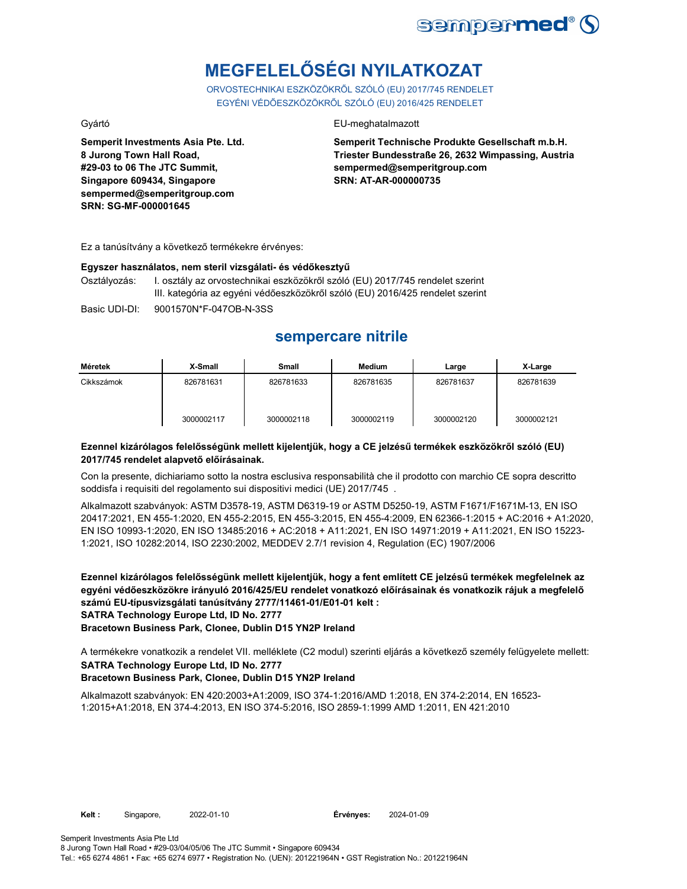

# **MEGFELELŐSÉGI NYILATKOZAT**

ORVOSTECHNIKAI ESZKÖZÖKRŐL SZÓLÓ (EU) 2017/745 RENDELET EGYÉNI VÉDŐESZKÖZÖKRŐL SZÓLÓ (EU) 2016/425 RENDELET

**Semperit Investments Asia Pte. Ltd. 8 Jurong Town Hall Road, #29-03 to 06 The JTC Summit, Singapore 609434, Singapore sempermed@semperitgroup.com SRN: SG-MF-000001645**

### Gyártó EU-meghatalmazott

**Semperit Technische Produkte Gesellschaft m.b.H. Triester Bundesstraße 26, 2632 Wimpassing, Austria sempermed@semperitgroup.com SRN: AT-AR-000000735**

Ez a tanúsítvány a következő termékekre érvényes:

### **Egyszer használatos, nem steril vizsgálati- és védőkesztyű**

Osztályozás: I. osztály az orvostechnikai eszközökről szóló (EU) 2017/745 rendelet szerint III. kategória az egyéni védőeszközökről szóló (EU) 2016/425 rendelet szerint

Basic UDI-DI: 9001570N\*F-047OB-N-3SS

## **sempercare nitrile**

| Méretek    | X-Small    | <b>Small</b> | Medium     | Large      | X-Large    |
|------------|------------|--------------|------------|------------|------------|
| Cikkszámok | 826781631  | 826781633    | 826781635  | 826781637  | 826781639  |
|            | 3000002117 | 3000002118   | 3000002119 | 3000002120 | 3000002121 |

### **Ezennel kizárólagos felelősségünk mellett kijelentjük, hogy a CE jelzésű termékek eszközökről szóló (EU) 2017/745 rendelet alapvető előírásainak.**

Con la presente, dichiariamo sotto la nostra esclusiva responsabilità che il prodotto con marchio CE sopra descritto soddisfa i requisiti del regolamento sui dispositivi medici (UE) 2017/745 .

Alkalmazott szabványok: ASTM D3578-19, ASTM D6319-19 or ASTM D5250-19, ASTM F1671/F1671M-13, EN ISO 20417:2021, EN 455-1:2020, EN 455-2:2015, EN 455-3:2015, EN 455-4:2009, EN 62366-1:2015 + AC:2016 + A1:2020, EN ISO 10993-1:2020, EN ISO 13485:2016 + AC:2018 + A11:2021, EN ISO 14971:2019 + A11:2021, EN ISO 15223- 1:2021, ISO 10282:2014, ISO 2230:2002, MEDDEV 2.7/1 revision 4, Regulation (EC) 1907/2006

**Ezennel kizárólagos felelősségünk mellett kijelentjük, hogy a fent említett CE jelzésű termékek megfelelnek az egyéni védőeszközökre irányuló 2016/425/EU rendelet vonatkozó előírásainak és vonatkozik rájuk a megfelelő számú EU-típusvizsgálati tanúsítvány 2777/11461-01/E01-01 kelt : SATRA Technology Europe Ltd, ID No. 2777**

**Bracetown Business Park, Clonee, Dublin D15 YN2P Ireland**

A termékekre vonatkozik a rendelet VII. melléklete (C2 modul) szerinti eljárás a következő személy felügyelete mellett: **SATRA Technology Europe Ltd, ID No. 2777**

### **Bracetown Business Park, Clonee, Dublin D15 YN2P Ireland**

Alkalmazott szabványok: EN 420:2003+A1:2009, ISO 374-1:2016/AMD 1:2018, EN 374-2:2014, EN 16523- 1:2015+A1:2018, EN 374-4:2013, EN ISO 374-5:2016, ISO 2859-1:1999 AMD 1:2011, EN 421:2010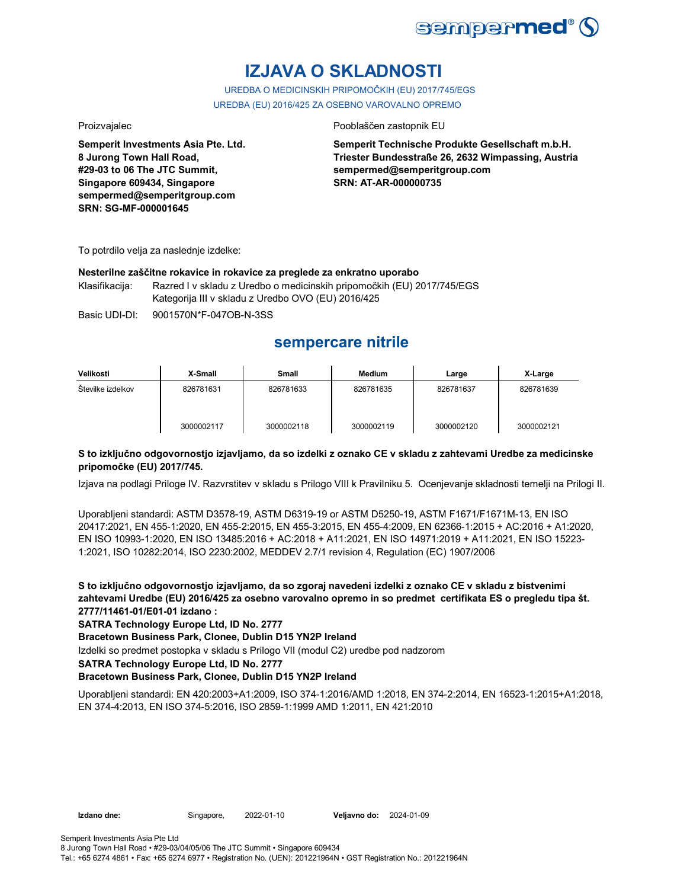

# **IZJAVA O SKLADNOSTI**

UREDBA O MEDICINSKIH PRIPOMOČKIH (EU) 2017/745/EGS UREDBA (EU) 2016/425 ZA OSEBNO VAROVALNO OPREMO

**Semperit Investments Asia Pte. Ltd. 8 Jurong Town Hall Road, #29-03 to 06 The JTC Summit, Singapore 609434, Singapore sempermed@semperitgroup.com SRN: SG-MF-000001645**

### Proizvajalec **Proizvajalec** Pooblaščen zastopnik EU

**Semperit Technische Produkte Gesellschaft m.b.H. Triester Bundesstraße 26, 2632 Wimpassing, Austria sempermed@semperitgroup.com SRN: AT-AR-000000735**

To potrdilo velja za naslednje izdelke:

### **Nesterilne zaščitne rokavice in rokavice za preglede za enkratno uporabo**

Klasifikacija: Razred I v skladu z Uredbo o medicinskih pripomočkih (EU) 2017/745/EGS Kategorija III v skladu z Uredbo OVO (EU) 2016/425

Basic UDI-DI: 9001570N\*F-047OB-N-3SS

## **sempercare nitrile**

| Velikosti         | X-Small    | <b>Small</b> | Medium     | Large      | X-Large    |
|-------------------|------------|--------------|------------|------------|------------|
| Stevilke izdelkov | 826781631  | 826781633    | 826781635  | 826781637  | 826781639  |
|                   | 3000002117 | 3000002118   | 3000002119 | 3000002120 | 3000002121 |

### **S to izključno odgovornostjo izjavljamo, da so izdelki z oznako CE v skladu z zahtevami Uredbe za medicinske pripomočke (EU) 2017/745.**

Izjava na podlagi Priloge IV. Razvrstitev v skladu s Prilogo VIII k Pravilniku 5. Ocenjevanje skladnosti temelji na Prilogi II.

Uporabljeni standardi: ASTM D3578-19, ASTM D6319-19 or ASTM D5250-19, ASTM F1671/F1671M-13, EN ISO 20417:2021, EN 455-1:2020, EN 455-2:2015, EN 455-3:2015, EN 455-4:2009, EN 62366-1:2015 + AC:2016 + A1:2020, EN ISO 10993-1:2020, EN ISO 13485:2016 + AC:2018 + A11:2021, EN ISO 14971:2019 + A11:2021, EN ISO 15223- 1:2021, ISO 10282:2014, ISO 2230:2002, MEDDEV 2.7/1 revision 4, Regulation (EC) 1907/2006

**S to izključno odgovornostjo izjavljamo, da so zgoraj navedeni izdelki z oznako CE v skladu z bistvenimi zahtevami Uredbe (EU) 2016/425 za osebno varovalno opremo in so predmet certifikata ES o pregledu tipa št. 2777/11461-01/E01-01 izdano :**

### **SATRA Technology Europe Ltd, ID No. 2777**

**Bracetown Business Park, Clonee, Dublin D15 YN2P Ireland**

Izdelki so predmet postopka v skladu s Prilogo VII (modul C2) uredbe pod nadzorom

### **SATRA Technology Europe Ltd, ID No. 2777**

### **Bracetown Business Park, Clonee, Dublin D15 YN2P Ireland**

Uporabljeni standardi: EN 420:2003+A1:2009, ISO 374-1:2016/AMD 1:2018, EN 374-2:2014, EN 16523-1:2015+A1:2018, EN 374-4:2013, EN ISO 374-5:2016, ISO 2859-1:1999 AMD 1:2011, EN 421:2010

**Izdano dne:** Singapore, 2022-01-10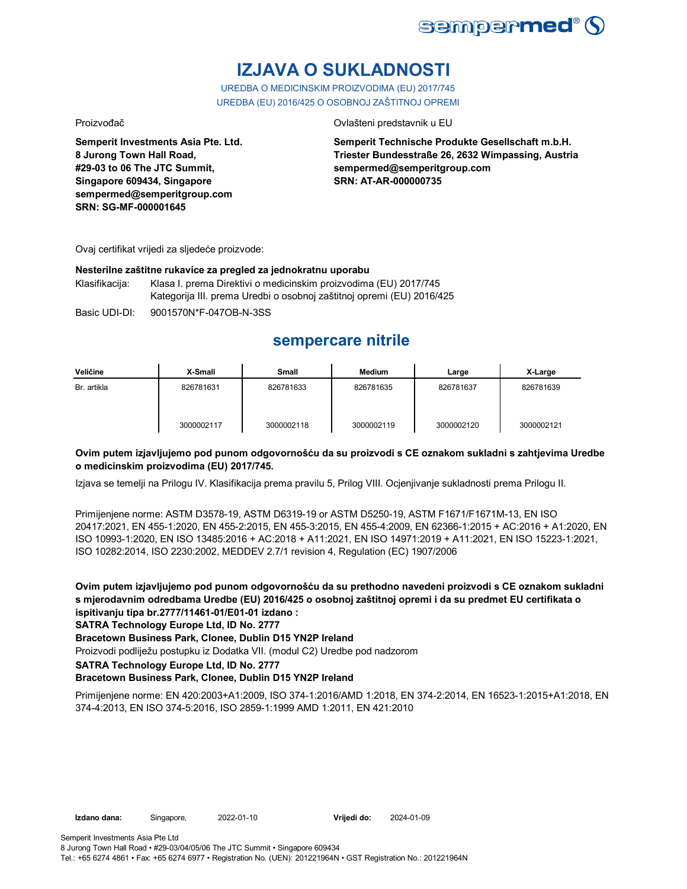

# **IZJAVA O SUKLADNOSTI**

UREDBA O MEDICINSKIM PROIZVODIMA (EU) 2017/745 UREDBA (EU) 2016/425 O OSOBNOJ ZAŠTITNOJ OPREMI

Proizvođač Ovlašteni predstavnik u EU

**Semperit Investments Asia Pte. Ltd. 8 Jurong Town Hall Road, #29-03 to 06 The JTC Summit, Singapore 609434, Singapore sempermed@semperitgroup.com SRN: SG-MF-000001645**

**Semperit Technische Produkte Gesellschaft m.b.H. Triester Bundesstraße 26, 2632 Wimpassing, Austria sempermed@semperitgroup.com SRN: AT-AR-000000735**

Ovaj certifikat vrijedi za sljedeće proizvode:

### **Nesterilne zaštitne rukavice za pregled za jednokratnu uporabu**

Klasifikacija: Klasa I. prema Direktivi o medicinskim proizvodima (EU) 2017/745 Kategorija III. prema Uredbi o osobnoj zaštitnoj opremi (EU) 2016/425

Basic UDI-DI: 9001570N\*F-047OB-N-3SS

# **sempercare nitrile**

| Veličine    | X-Small    | Small      | <b>Medium</b> | Large      | X-Large    |
|-------------|------------|------------|---------------|------------|------------|
| Br. artikla | 826781631  | 826781633  | 826781635     | 826781637  | 826781639  |
|             | 3000002117 | 3000002118 | 3000002119    | 3000002120 | 3000002121 |

### **Ovim putem izjavljujemo pod punom odgovornošću da su proizvodi s CE oznakom sukladni s zahtjevima Uredbe o medicinskim proizvodima (EU) 2017/745.**

Izjava se temelji na Prilogu IV. Klasifikacija prema pravilu 5, Prilog VIII. Ocjenjivanje sukladnosti prema Prilogu II.

Primijenjene norme: ASTM D3578-19, ASTM D6319-19 or ASTM D5250-19, ASTM F1671/F1671M-13, EN ISO 20417:2021, EN 455-1:2020, EN 455-2:2015, EN 455-3:2015, EN 455-4:2009, EN 62366-1:2015 + AC:2016 + A1:2020, EN ISO 10993-1:2020, EN ISO 13485:2016 + AC:2018 + A11:2021, EN ISO 14971:2019 + A11:2021, EN ISO 15223-1:2021, ISO 10282:2014, ISO 2230:2002, MEDDEV 2.7/1 revision 4, Regulation (EC) 1907/2006

**Ovim putem izjavljujemo pod punom odgovornošću da su prethodno navedeni proizvodi s CE oznakom sukladni s mjerodavnim odredbama Uredbe (EU) 2016/425 o osobnoj zaštitnoj opremi i da su predmet EU certifikata o ispitivanju tipa br.2777/11461-01/E01-01 izdano :**

**SATRA Technology Europe Ltd, ID No. 2777**

### **Bracetown Business Park, Clonee, Dublin D15 YN2P Ireland**

Proizvodi podliježu postupku iz Dodatka VII. (modul C2) Uredbe pod nadzorom

**SATRA Technology Europe Ltd, ID No. 2777**

### **Bracetown Business Park, Clonee, Dublin D15 YN2P Ireland**

Primijenjene norme: EN 420:2003+A1:2009, ISO 374-1:2016/AMD 1:2018, EN 374-2:2014, EN 16523-1:2015+A1:2018, EN 374-4:2013, EN ISO 374-5:2016, ISO 2859-1:1999 AMD 1:2011, EN 421:2010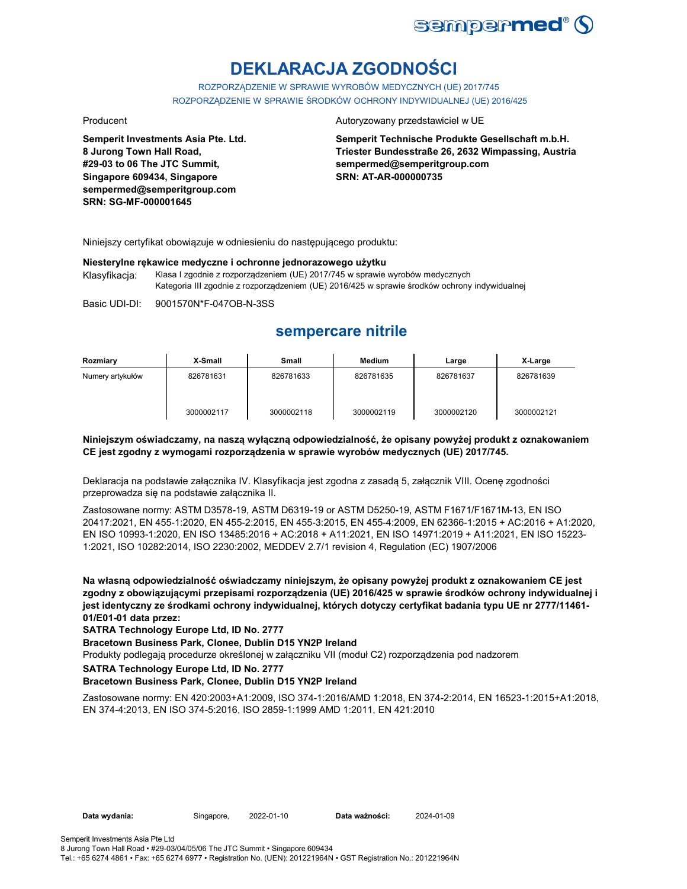

# **DEKLARACJA ZGODNOŚCI**

ROZPORZĄDZENIE W SPRAWIE WYROBÓW MEDYCZNYCH (UE) 2017/745 ROZPORZĄDZENIE W SPRAWIE ŚRODKÓW OCHRONY INDYWIDUALNEJ (UE) 2016/425

**Semperit Investments Asia Pte. Ltd. 8 Jurong Town Hall Road, #29-03 to 06 The JTC Summit, Singapore 609434, Singapore sempermed@semperitgroup.com SRN: SG-MF-000001645**

### Producent **Autoryzowany przedstawiciel w UE**

**Semperit Technische Produkte Gesellschaft m.b.H. Triester Bundesstraße 26, 2632 Wimpassing, Austria sempermed@semperitgroup.com SRN: AT-AR-000000735**

Niniejszy certyfikat obowiązuje w odniesieniu do następującego produktu:

### **Niesterylne rękawice medyczne i ochronne jednorazowego użytku** Klasyfikacja: Klasa I zgodnie z rozporządzeniem (UE) 2017/745 w sprawie wyrobów medycznych Kategoria III zgodnie z rozporządzeniem (UE) 2016/425 w sprawie środków ochrony indywidualnej

Basic UDI-DI: 9001570N\*F-047OB-N-3SS

## **sempercare nitrile**

| Rozmiary         | X-Small    | <b>Small</b> | Medium     | Large      | X-Large    |
|------------------|------------|--------------|------------|------------|------------|
| Numery artykułów | 826781631  | 826781633    | 826781635  | 826781637  | 826781639  |
|                  | 3000002117 | 3000002118   | 3000002119 | 3000002120 | 3000002121 |

### **Niniejszym oświadczamy, na naszą wyłączną odpowiedzialność, że opisany powyżej produkt z oznakowaniem CE jest zgodny z wymogami rozporządzenia w sprawie wyrobów medycznych (UE) 2017/745.**

Deklaracja na podstawie załącznika IV. Klasyfikacja jest zgodna z zasadą 5, załącznik VIII. Ocenę zgodności przeprowadza się na podstawie załącznika II.

Zastosowane normy: ASTM D3578-19, ASTM D6319-19 or ASTM D5250-19, ASTM F1671/F1671M-13, EN ISO 20417:2021, EN 455-1:2020, EN 455-2:2015, EN 455-3:2015, EN 455-4:2009, EN 62366-1:2015 + AC:2016 + A1:2020, EN ISO 10993-1:2020, EN ISO 13485:2016 + AC:2018 + A11:2021, EN ISO 14971:2019 + A11:2021, EN ISO 15223- 1:2021, ISO 10282:2014, ISO 2230:2002, MEDDEV 2.7/1 revision 4, Regulation (EC) 1907/2006

**Na własną odpowiedzialność oświadczamy niniejszym, że opisany powyżej produkt z oznakowaniem CE jest zgodny z obowiązującymi przepisami rozporządzenia (UE) 2016/425 w sprawie środków ochrony indywidualnej i jest identyczny ze środkami ochrony indywidualnej, których dotyczy certyfikat badania typu UE nr 2777/11461- 01/E01-01 data przez:**

**SATRA Technology Europe Ltd, ID No. 2777**

**Bracetown Business Park, Clonee, Dublin D15 YN2P Ireland**

Produkty podlegają procedurze określonej w załączniku VII (moduł C2) rozporządzenia pod nadzorem

**SATRA Technology Europe Ltd, ID No. 2777**

### **Bracetown Business Park, Clonee, Dublin D15 YN2P Ireland**

Zastosowane normy: EN 420:2003+A1:2009, ISO 374-1:2016/AMD 1:2018, EN 374-2:2014, EN 16523-1:2015+A1:2018, EN 374-4:2013, EN ISO 374-5:2016, ISO 2859-1:1999 AMD 1:2011, EN 421:2010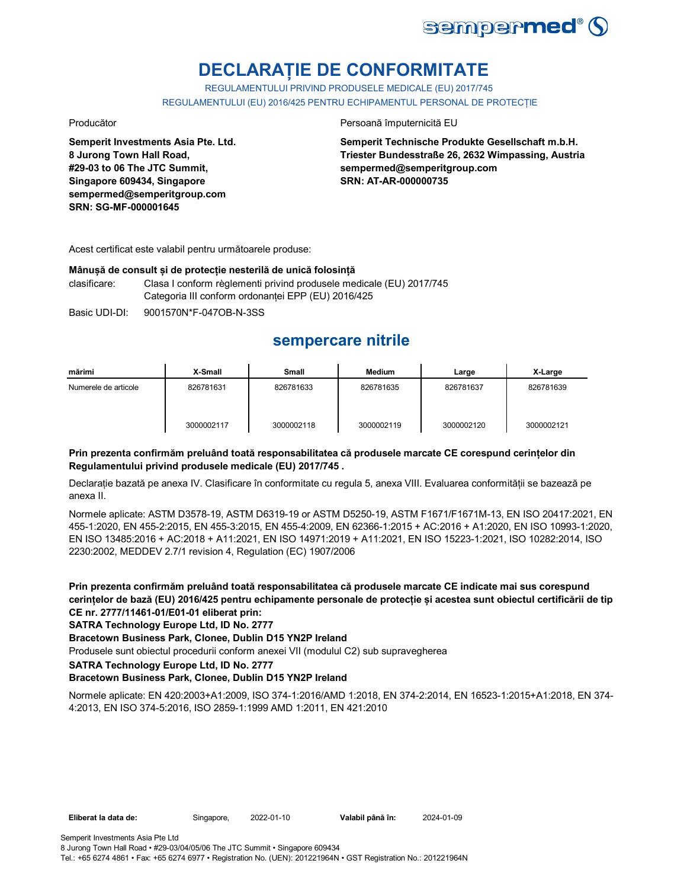

# **DECLARAȚIE DE CONFORMITATE**

REGULAMENTULUI PRIVIND PRODUSELE MEDICALE (EU) 2017/745 REGULAMENTULUI (EU) 2016/425 PENTRU ECHIPAMENTUL PERSONAL DE PROTECȚIE

**Semperit Investments Asia Pte. Ltd. 8 Jurong Town Hall Road, #29-03 to 06 The JTC Summit, Singapore 609434, Singapore sempermed@semperitgroup.com SRN: SG-MF-000001645**

### Producător **Producător** Persoană împuternicită EU

**Semperit Technische Produkte Gesellschaft m.b.H. Triester Bundesstraße 26, 2632 Wimpassing, Austria sempermed@semperitgroup.com SRN: AT-AR-000000735**

Acest certificat este valabil pentru următoarele produse:

### **Mânușă de consult și de protecție nesterilă de unică folosință**

clasificare: Clasa I conform règlementi privind produsele medicale (EU) 2017/745 Categoria III conform ordonanței EPP (EU) 2016/425

Basic UDI-DI: 9001570N\*F-047OB-N-3SS

## **sempercare nitrile**

| mărimi               | X-Small    | <b>Small</b> | Medium     | Large      | X-Large    |
|----------------------|------------|--------------|------------|------------|------------|
| Numerele de articole | 826781631  | 826781633    | 826781635  | 826781637  | 826781639  |
|                      | 3000002117 | 3000002118   | 3000002119 | 3000002120 | 3000002121 |

### **Prin prezenta confirmăm preluând toată responsabilitatea că produsele marcate CE corespund cerințelor din Regulamentului privind produsele medicale (EU) 2017/745 .**

Declarație bazată pe anexa IV. Clasificare în conformitate cu regula 5, anexa VIII. Evaluarea conformității se bazează pe anexa II.

Normele aplicate: ASTM D3578-19, ASTM D6319-19 or ASTM D5250-19, ASTM F1671/F1671M-13, EN ISO 20417:2021, EN 455-1:2020, EN 455-2:2015, EN 455-3:2015, EN 455-4:2009, EN 62366-1:2015 + AC:2016 + A1:2020, EN ISO 10993-1:2020, EN ISO 13485:2016 + AC:2018 + A11:2021, EN ISO 14971:2019 + A11:2021, EN ISO 15223-1:2021, ISO 10282:2014, ISO 2230:2002, MEDDEV 2.7/1 revision 4, Regulation (EC) 1907/2006

**Prin prezenta confirmăm preluând toată responsabilitatea că produsele marcate CE indicate mai sus corespund cerințelor de bază (EU) 2016/425 pentru echipamente personale de protecție și acestea sunt obiectul certificării de tip CE nr. 2777/11461-01/E01-01 eliberat prin:**

### **SATRA Technology Europe Ltd, ID No. 2777**

### **Bracetown Business Park, Clonee, Dublin D15 YN2P Ireland**

Produsele sunt obiectul procedurii conform anexei VII (modulul C2) sub supravegherea

**SATRA Technology Europe Ltd, ID No. 2777**

### **Bracetown Business Park, Clonee, Dublin D15 YN2P Ireland**

Normele aplicate: EN 420:2003+A1:2009, ISO 374-1:2016/AMD 1:2018, EN 374-2:2014, EN 16523-1:2015+A1:2018, EN 374- 4:2013, EN ISO 374-5:2016, ISO 2859-1:1999 AMD 1:2011, EN 421:2010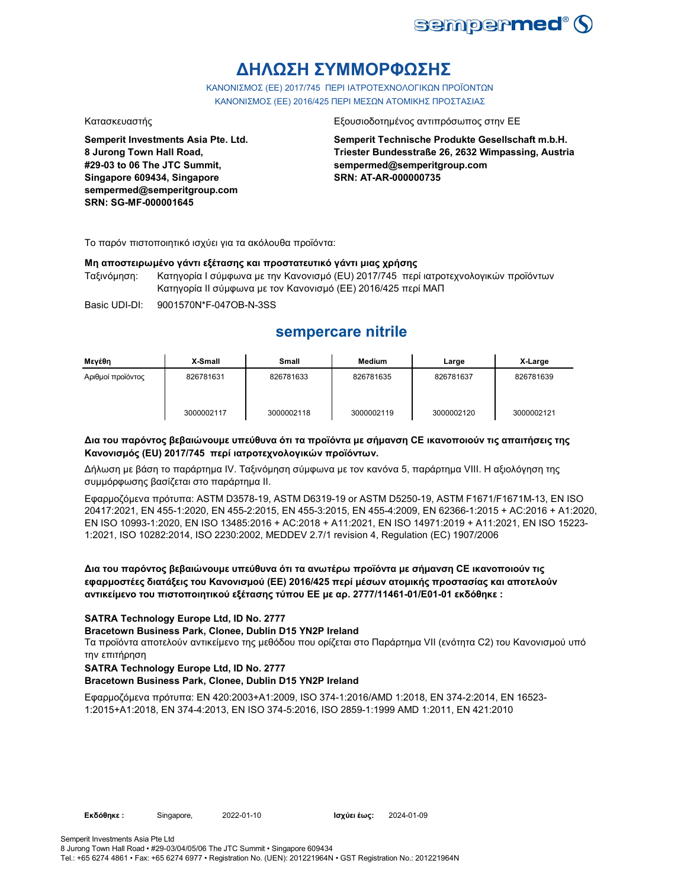

# **ΔΗΛΩΣΗ ΣΥΜΜΟΡΦΩΣΗΣ**

ΚΑΝΟΝΙΣΜΟΣ (EE) 2017/745 ΠΕΡΙ ΙΑΤΡΟΤΕΧΝΟΛΟΓΙΚΩΝ ΠΡΟΪΟΝΤΩΝ ΚΑΝΟΝΙΣΜΟΣ (ΕΕ) 2016/425 ΠΕΡΙ ΜΕΣΩΝ ΑΤΟΜΙΚΗΣ ΠΡΟΣΤΑΣΙΑΣ

**Semperit Investments Asia Pte. Ltd. 8 Jurong Town Hall Road, #29-03 to 06 The JTC Summit, Singapore 609434, Singapore sempermed@semperitgroup.com SRN: SG-MF-000001645**

### Κατασκευαστής Εξουσιοδοτημένος αντιπρόσωπος στην ΕΕ

**Semperit Technische Produkte Gesellschaft m.b.H. Triester Bundesstraße 26, 2632 Wimpassing, Austria sempermed@semperitgroup.com SRN: AT-AR-000000735**

Το παρόν πιστοποιητικό ισχύει για τα ακόλουθα προϊόντα:

### **Μη αποστειρωμένο γάντι εξέτασης και προστατευτικό γάντι μιας χρήσης**

Ταξινόμηση: Κατηγορία I σύμφωνα με την Κανονισμό (EU) 2017/745 περί ιατροτεχνολογικών προϊόντων Κατηγορία II σύμφωνα με τον Κανονισμό (ΕΕ) 2016/425 περί ΜΑΠ

Basic UDI-DI: 9001570N\*F-047OB-N-3SS

## **sempercare nitrile**

| Μενέθη            | X-Small    | <b>Small</b> | <b>Medium</b> | Large      | X-Large    |
|-------------------|------------|--------------|---------------|------------|------------|
| Αριθμοί προϊόντος | 826781631  | 826781633    | 826781635     | 826781637  | 826781639  |
|                   | 3000002117 | 3000002118   | 3000002119    | 3000002120 | 3000002121 |

### **Δια του παρόντος βεβαιώνουμε υπεύθυνα ότι τα προϊόντα με σήμανση CE ικανοποιούν τις απαιτήσεις της Κανονισμός (EU) 2017/745 περί ιατροτεχνολογικών προϊόντων.**

Δήλωση με βάση το παράρτημα IV. Ταξινόμηση σύμφωνα με τον κανόνα 5, παράρτημα VIII. Η αξιολόγηση της συμμόρφωσης βασίζεται στο παράρτημα II.

Εφαρμοζόμενα πρότυπα: ASTM D3578-19, ASTM D6319-19 or ASTM D5250-19, ASTM F1671/F1671M-13, EN ISO 20417:2021, EN 455-1:2020, EN 455-2:2015, EN 455-3:2015, EN 455-4:2009, EN 62366-1:2015 + AC:2016 + A1:2020, EN ISO 10993-1:2020, EN ISO 13485:2016 + AC:2018 + A11:2021, EN ISO 14971:2019 + A11:2021, EN ISO 15223- 1:2021, ISO 10282:2014, ISO 2230:2002, MEDDEV 2.7/1 revision 4, Regulation (EC) 1907/2006

**Δια του παρόντος βεβαιώνουμε υπεύθυνα ότι τα ανωτέρω προϊόντα με σήμανση CE ικανοποιούν τις εφαρμοστέες διατάξεις του Κανονισμού (ΕΕ) 2016/425 περί μέσων ατομικής προστασίας και αποτελούν αντικείμενο του πιστοποιητικού εξέτασης τύπου ΕΕ με αρ. 2777/11461-01/E01-01 εκδόθηκε :**

### **SATRA Technology Europe Ltd, ID No. 2777**

### **Bracetown Business Park, Clonee, Dublin D15 YN2P Ireland**

Τα προϊόντα αποτελούν αντικείμενο της μεθόδου που ορίζεται στο Παράρτημα VII (ενότητα C2) του Κανονισμού υπό την επιτήρηση

### **SATRA Technology Europe Ltd, ID No. 2777**

### **Bracetown Business Park, Clonee, Dublin D15 YN2P Ireland**

Εφαρμοζόμενα πρότυπα: EN 420:2003+A1:2009, ISO 374-1:2016/AMD 1:2018, EN 374-2:2014, EN 16523- 1:2015+A1:2018, EN 374-4:2013, EN ISO 374-5:2016, ISO 2859-1:1999 AMD 1:2011, EN 421:2010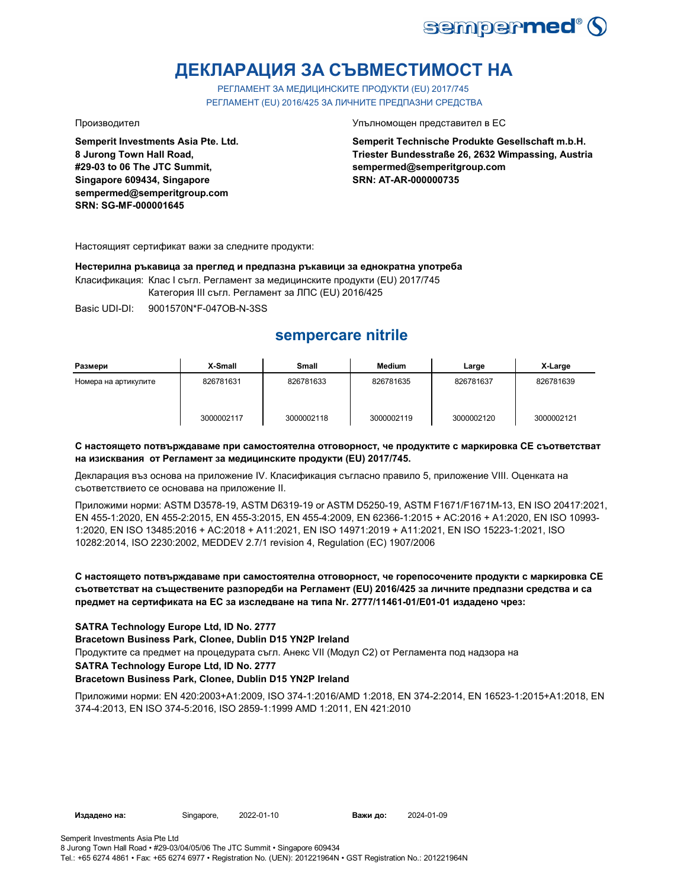

# **ДЕКЛАРАЦИЯ ЗА СЪВМЕСТИМОСТ НА**

РЕГЛАМЕНТ ЗА МЕДИЦИНСКИТЕ ПРОДУКТИ (EU) 2017/745 РЕГЛАМЕНТ (EU) 2016/425 ЗА ЛИЧНИТЕ ПРЕДПАЗНИ СРЕДСТВА

**Semperit Investments Asia Pte. Ltd. 8 Jurong Town Hall Road, #29-03 to 06 The JTC Summit, Singapore 609434, Singapore sempermed@semperitgroup.com SRN: SG-MF-000001645**

Производител Упълномощен представител в ЕС

**Semperit Technische Produkte Gesellschaft m.b.H. Triester Bundesstraße 26, 2632 Wimpassing, Austria sempermed@semperitgroup.com SRN: AT-AR-000000735**

Настоящият сертификат важи за следните продукти:

**Нестерилна ръкавица за преглед и предпазна ръкавици за еднократна употреба** Класификация: Клас I съгл. Регламент за медицинските продукти (EU) 2017/745 Категория III съгл. Регламент за ЛПС (EU) 2016/425

Basic UDI-DI: 9001570N\*F-047OB-N-3SS

# **sempercare nitrile**

| Размери              | X-Small    | <b>Small</b> | <b>Medium</b> | Large      | X-Large    |
|----------------------|------------|--------------|---------------|------------|------------|
| Номера на артикулите | 826781631  | 826781633    | 826781635     | 826781637  | 826781639  |
|                      | 3000002117 | 3000002118   | 3000002119    | 3000002120 | 3000002121 |

### **С настоящето потвърждаваме при самостоятелна отговорност, че продуктите с маркировка СЕ съответстват на изисквания от Регламент за медицинските продукти (EU) 2017/745.**

Декларация въз основа на приложение IV. Класификация съгласно правило 5, приложение VIII. Оценката на съответствието се основава на приложение II.

Приложими норми: ASTM D3578-19, ASTM D6319-19 or ASTM D5250-19, ASTM F1671/F1671M-13, EN ISO 20417:2021, EN 455-1:2020, EN 455-2:2015, EN 455-3:2015, EN 455-4:2009, EN 62366-1:2015 + AC:2016 + A1:2020, EN ISO 10993- 1:2020, EN ISO 13485:2016 + AC:2018 + A11:2021, EN ISO 14971:2019 + A11:2021, EN ISO 15223-1:2021, ISO 10282:2014, ISO 2230:2002, MEDDEV 2.7/1 revision 4, Regulation (EC) 1907/2006

### **С настоящето потвърждаваме при самостоятелна отговорност, че горепосочените продукти с маркировка СЕ съответстват на съществените разпоредби на Регламент (EU) 2016/425 за личните предпазни средства и са предмет на сертификата на ЕС за изследване на типа Nr. 2777/11461-01/E01-01 издадено чрез:**

### **SATRA Technology Europe Ltd, ID No. 2777**

**Bracetown Business Park, Clonee, Dublin D15 YN2P Ireland**

Продуктите са предмет на процедурата съгл. Анекс VII (Модул С2) от Регламента под надзора на

### **SATRA Technology Europe Ltd, ID No. 2777**

### **Bracetown Business Park, Clonee, Dublin D15 YN2P Ireland**

Приложими норми: EN 420:2003+A1:2009, ISO 374-1:2016/AMD 1:2018, EN 374-2:2014, EN 16523-1:2015+A1:2018, EN 374-4:2013, EN ISO 374-5:2016, ISO 2859-1:1999 AMD 1:2011, EN 421:2010

**Издадено на:** Singapore, **Важи до:**